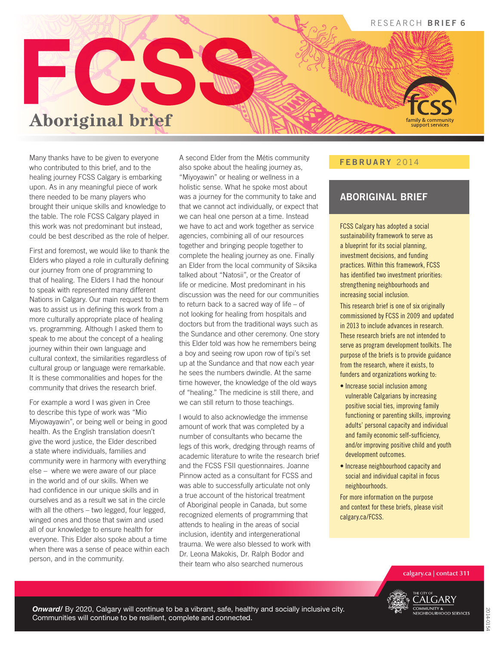

Many thanks have to be given to everyone who contributed to this brief, and to the healing journey FCSS Calgary is embarking upon. As in any meaningful piece of work there needed to be many players who brought their unique skills and knowledge to the table. The role FCSS Calgary played in this work was not predominant but instead, could be best described as the role of helper.

First and foremost, we would like to thank the Elders who played a role in culturally defining our journey from one of programming to that of healing. The Elders I had the honour to speak with represented many different Nations in Calgary. Our main request to them was to assist us in defining this work from a more culturally appropriate place of healing vs. programming. Although I asked them to speak to me about the concept of a healing journey within their own language and cultural context, the similarities regardless of cultural group or language were remarkable. It is these commonalities and hopes for the community that drives the research brief.

For example a word I was given in Cree to describe this type of work was "Mio Miyowayawin", or being well or being in good health. As the English translation doesn't give the word justice, the Elder described a state where individuals, families and community were in harmony with everything else – where we were aware of our place in the world and of our skills. When we had confidence in our unique skills and in ourselves and as a result we sat in the circle with all the others – two legged, four legged, winged ones and those that swim and used all of our knowledge to ensure health for everyone. This Elder also spoke about a time when there was a sense of peace within each person, and in the community.

A second Elder from the Métis community also spoke about the healing journey as, "Miyoyawin" or healing or wellness in a holistic sense. What he spoke most about was a journey for the community to take and that we cannot act individually, or expect that we can heal one person at a time. Instead we have to act and work together as service agencies, combining all of our resources together and bringing people together to complete the healing journey as one. Finally an Elder from the local community of Siksika talked about "Natosii", or the Creator of life or medicine. Most predominant in his discussion was the need for our communities to return back to a sacred way of life – of not looking for healing from hospitals and doctors but from the traditional ways such as the Sundance and other ceremony. One story this Elder told was how he remembers being a boy and seeing row upon row of tipi's set up at the Sundance and that now each year he sees the numbers dwindle. At the same time however, the knowledge of the old ways of "healing." The medicine is still there, and we can still return to those teachings.

I would to also acknowledge the immense amount of work that was completed by a number of consultants who became the legs of this work, dredging through reams of academic literature to write the research brief and the FCSS FSII questionnaires. Joanne Pinnow acted as a consultant for FCSS and was able to successfully articulate not only a true account of the historical treatment of Aboriginal people in Canada, but some recognized elements of programming that attends to healing in the areas of social inclusion, identity and intergenerational trauma. We were also blessed to work with Dr. Leona Makokis, Dr. Ralph Bodor and their team who also searched numerous

#### FEBRUARY 2014

### ABORIGINAL BRIEF

FCSS Calgary has adopted a social sustainability framework to serve as a blueprint for its social planning, investment decisions, and funding practices. Within this framework, FCSS has identified two investment priorities: strengthening neighbourhoods and increasing social inclusion.

This research brief is one of six originally commissioned by FCSS in 2009 and updated in 2013 to include advances in research. These research briefs are not intended to serve as program development toolkits. The purpose of the briefs is to provide guidance from the research, where it exists, to funders and organizations working to:

- Increase social inclusion among vulnerable Calgarians by increasing positive social ties, improving family functioning or parenting skills, improving adults' personal capacity and individual and family economic self-sufficiency, and/or improving positive child and youth development outcomes.
- Increase neighbourhood capacity and social and individual capital in focus neighbourhoods.

For more information on the purpose and context for these briefs, please visit calgary.ca/FCSS.

**calgary.ca | contact 311**



*Onward/* By 2020, Calgary will continue to be a vibrant, safe, healthy and socially inclusive city. Communities will continue to be resilient, complete and connected.

1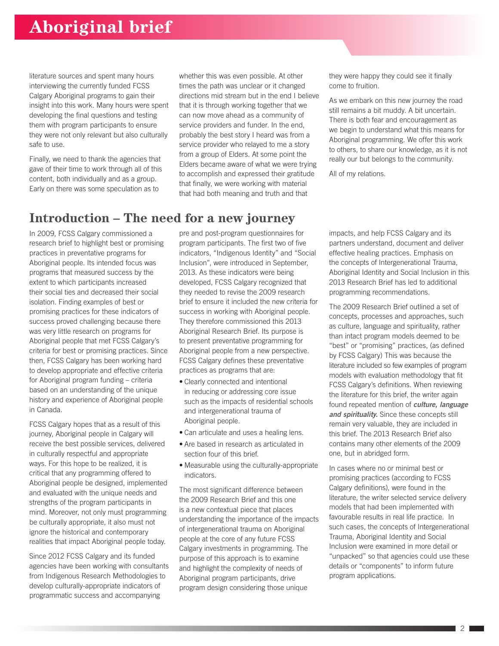literature sources and spent many hours interviewing the currently funded FCSS Calgary Aboriginal programs to gain their insight into this work. Many hours were spent developing the final questions and testing them with program participants to ensure they were not only relevant but also culturally safe to use.

Finally, we need to thank the agencies that gave of their time to work through all of this content, both individually and as a group. Early on there was some speculation as to

whether this was even possible. At other times the path was unclear or it changed directions mid stream but in the end I believe that it is through working together that we can now move ahead as a community of service providers and funder. In the end, probably the best story I heard was from a service provider who relayed to me a story from a group of Elders. At some point the Elders became aware of what we were trying to accomplish and expressed their gratitude that finally, we were working with material that had both meaning and truth and that

### **Introduction – The need for a new journey**

In 2009, FCSS Calgary commissioned a research brief to highlight best or promising practices in preventative programs for Aboriginal people. Its intended focus was programs that measured success by the extent to which participants increased their social ties and decreased their social isolation. Finding examples of best or promising practices for these indicators of success proved challenging because there was very little research on programs for Aboriginal people that met FCSS Calgary's criteria for best or promising practices. Since then, FCSS Calgary has been working hard to develop appropriate and effective criteria for Aboriginal program funding – criteria based on an understanding of the unique history and experience of Aboriginal people in Canada.

FCSS Calgary hopes that as a result of this journey, Aboriginal people in Calgary will receive the best possible services, delivered in culturally respectful and appropriate ways. For this hope to be realized, it is critical that any programming offered to Aboriginal people be designed, implemented and evaluated with the unique needs and strengths of the program participants in mind. Moreover, not only must programming be culturally appropriate, it also must not ignore the historical and contemporary realities that impact Aboriginal people today.

Since 2012 FCSS Calgary and its funded agencies have been working with consultants from Indigenous Research Methodologies to develop culturally-appropriate indicators of programmatic success and accompanying

pre and post-program questionnaires for program participants. The first two of five indicators, "Indigenous Identity" and "Social Inclusion", were introduced in September, 2013. As these indicators were being developed, FCSS Calgary recognized that they needed to revise the 2009 research brief to ensure it included the new criteria for success in working with Aboriginal people. They therefore commissioned this 2013 Aboriginal Research Brief. Its purpose is to present preventative programming for Aboriginal people from a new perspective. FCSS Calgary defines these preventative practices as programs that are:

- Clearly connected and intentional in reducing or addressing core issue such as the impacts of residential schools and intergenerational trauma of Aboriginal people.
- Can articulate and uses a healing lens.
- Are based in research as articulated in section four of this brief.
- Measurable using the culturally-appropriate indicators.

The most significant difference between the 2009 Research Brief and this one is a new contextual piece that places understanding the importance of the impacts of intergenerational trauma on Aboriginal people at the core of any future FCSS Calgary investments in programming. The purpose of this approach is to examine and highlight the complexity of needs of Aboriginal program participants, drive program design considering those unique

they were happy they could see it finally come to fruition.

As we embark on this new journey the road still remains a bit muddy. A bit uncertain. There is both fear and encouragement as we begin to understand what this means for Aboriginal programming. We offer this work to others, to share our knowledge, as it is not really our but belongs to the community.

All of my relations.

impacts, and help FCSS Calgary and its partners understand, document and deliver effective healing practices. Emphasis on the concepts of Intergenerational Trauma, Aboriginal Identity and Social Inclusion in this 2013 Research Brief has led to additional programming recommendations.

The 2009 Research Brief outlined a set of concepts, processes and approaches, such as culture, language and spirituality, rather than intact program models deemed to be "best" or "promising" practices, (as defined by FCSS Calgary) This was because the literature included so few examples of program models with evaluation methodology that fit FCSS Calgary's definitions. When reviewing the literature for this brief, the writer again found repeated mention of *culture, language and spirituality.* Since these concepts still remain very valuable, they are included in this brief. The 2013 Research Brief also contains many other elements of the 2009 one, but in abridged form.

In cases where no or minimal best or promising practices (according to FCSS Calgary definitions), were found in the literature, the writer selected service delivery models that had been implemented with favourable results in real life practice. In such cases, the concepts of Intergenerational Trauma, Aboriginal Identity and Social Inclusion were examined in more detail or "unpacked" so that agencies could use these details or "components" to inform future program applications.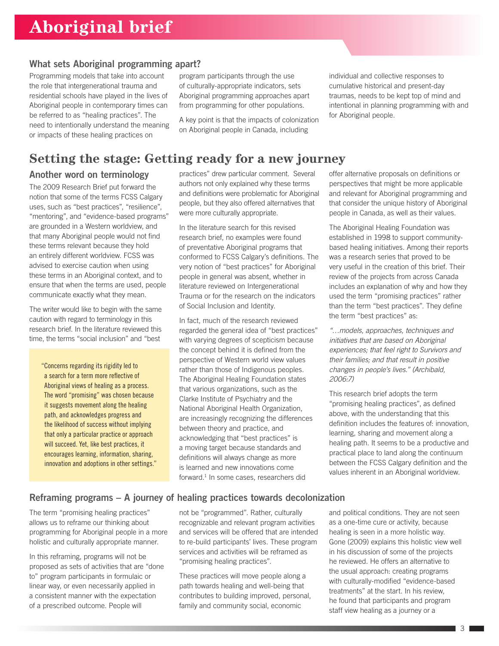### What sets Aboriginal programming apart?

Programming models that take into account the role that intergenerational trauma and residential schools have played in the lives of Aboriginal people in contemporary times can be referred to as "healing practices". The need to intentionally understand the meaning or impacts of these healing practices on

program participants through the use of culturally-appropriate indicators, sets Aboriginal programming approaches apart from programming for other populations.

A key point is that the impacts of colonization on Aboriginal people in Canada, including

individual and collective responses to cumulative historical and present-day traumas, needs to be kept top of mind and intentional in planning programming with and for Aboriginal people.

### **Setting the stage: Getting ready for a new journey**

#### Another word on terminology

The 2009 Research Brief put forward the notion that some of the terms FCSS Calgary uses, such as "best practices", "resilience", "mentoring", and "evidence-based programs" are grounded in a Western worldview, and that many Aboriginal people would not find these terms relevant because they hold an entirely different worldview. FCSS was advised to exercise caution when using these terms in an Aboriginal context, and to ensure that when the terms are used, people communicate exactly what they mean.

The writer would like to begin with the same caution with regard to terminology in this research brief. In the literature reviewed this time, the terms "social inclusion" and "best

"Concerns regarding its rigidity led to a search for a term more reflective of Aboriginal views of healing as a process. The word "promising" was chosen because it suggests movement along the healing path, and acknowledges progress and the likelihood of success without implying that only a particular practice or approach will succeed. Yet, like best practices, it encourages learning, information, sharing, innovation and adoptions in other settings." practices" drew particular comment. Several authors not only explained why these terms and definitions were problematic for Aboriginal people, but they also offered alternatives that were more culturally appropriate.

In the literature search for this revised research brief, no examples were found of preventative Aboriginal programs that conformed to FCSS Calgary's definitions. The very notion of "best practices" for Aboriginal people in general was absent, whether in literature reviewed on Intergenerational Trauma or for the research on the indicators of Social Inclusion and Identity.

In fact, much of the research reviewed regarded the general idea of "best practices" with varying degrees of scepticism because the concept behind it is defined from the perspective of Western world view values rather than those of Indigenous peoples. The Aboriginal Healing Foundation states that various organizations, such as the Clarke Institute of Psychiatry and the National Aboriginal Health Organization, are increasingly recognizing the differences between theory and practice, and acknowledging that "best practices" is a moving target because standards and definitions will always change as more is learned and new innovations come forward.<sup>1</sup> In some cases, researchers did

offer alternative proposals on definitions or perspectives that might be more applicable and relevant for Aboriginal programming and that consider the unique history of Aboriginal people in Canada, as well as their values.

The Aboriginal Healing Foundation was established in 1998 to support communitybased healing initiatives. Among their reports was a research series that proved to be very useful in the creation of this brief. Their review of the projects from across Canada includes an explanation of why and how they used the term "promising practices" rather than the term "best practices". They define the term "best practices" as:

*"…models, approaches, techniques and initiatives that are based on Aboriginal experiences; that feel right to Survivors and their families; and that result in positive changes in people's lives." (Archibald, 2006:7)*

This research brief adopts the term "promising healing practices", as defined above, with the understanding that this definition includes the features of: innovation, learning, sharing and movement along a healing path. It seems to be a productive and practical place to land along the continuum between the FCSS Calgary definition and the values inherent in an Aboriginal worldview.

#### Reframing programs – A journey of healing practices towards decolonization

The term "promising healing practices" allows us to reframe our thinking about programming for Aboriginal people in a more holistic and culturally appropriate manner.

In this reframing, programs will not be proposed as sets of activities that are "done to" program participants in formulaic or linear way, or even necessarily applied in a consistent manner with the expectation of a prescribed outcome. People will

not be "programmed". Rather, culturally recognizable and relevant program activities and services will be offered that are intended to re-build participants' lives. These program services and activities will be reframed as "promising healing practices".

These practices will move people along a path towards healing and well-being that contributes to building improved, personal, family and community social, economic

and political conditions. They are not seen as a one-time cure or activity, because healing is seen in a more holistic way. Gone (2009) explains this holistic view well in his discussion of some of the projects he reviewed. He offers an alternative to the usual approach: creating programs with culturally-modified "evidence-based treatments" at the start. In his review, he found that participants and program staff view healing as a journey or a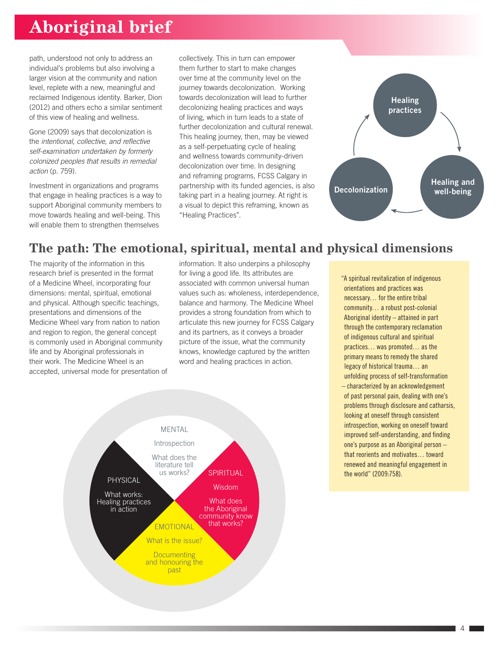path, understood not only to address an individual's problems but also involving a larger vision at the community and nation level, replete with a new, meaningful and reclaimed Indigenous identity. Barker, Dion (2012) and others echo a similar sentiment of this view of healing and wellness.

Gone (2009) says that decolonization is the *intentional, collective, and reflective self-examination undertaken by formerly colonized peoples that results in remedial action* (p. 759).

Investment in organizations and programs that engage in healing practices is a way to support Aboriginal community members to move towards healing and well-being. This will enable them to strengthen themselves

collectively. This in turn can empower them further to start to make changes over time at the community level on the journey towards decolonization. Working towards decolonization will lead to further decolonizing healing practices and ways of living, which in turn leads to a state of further decolonization and cultural renewal. This healing journey, then, may be viewed as a self-perpetuating cycle of healing and wellness towards community-driven decolonization over time. In designing and reframing programs, FCSS Calgary in partnership with its funded agencies, is also taking part in a healing journey. At right is a visual to depict this reframing, known as "Healing Practices".



### **The path: The emotional, spiritual, mental and physical dimensions**

The majority of the information in this research brief is presented in the format of a Medicine Wheel, incorporating four dimensions: mental, spiritual, emotional and physical. Although specific teachings, presentations and dimensions of the Medicine Wheel vary from nation to nation and region to region, the general concept is commonly used in Aboriginal community life and by Aboriginal professionals in their work. The Medicine Wheel is an accepted, universal mode for presentation of information. It also underpins a philosophy for living a good life. Its attributes are associated with common universal human values such as: wholeness, interdependence, balance and harmony. The Medicine Wheel provides a strong foundation from which to articulate this new journey for FCSS Calgary and its partners, as it conveys a broader picture of the issue, what the community knows, knowledge captured by the written word and healing practices in action.



"A spiritual revitalization of indigenous orientations and practices was necessary… for the entire tribal community… a robust post-colonial Aboriginal identity – attained in part through the contemporary reclamation of indigenous cultural and spiritual practices… was promoted… as the primary means to remedy the shared legacy of historical trauma… an unfolding process of self-transformation – characterized by an acknowledgement of past personal pain, dealing with one's problems through disclosure and catharsis, looking at oneself through consistent introspection, working on oneself toward improved self-understanding, and finding

one's purpose as an Aboriginal person – that reorients and motivates… toward renewed and meaningful engagement in the world" (2009:758).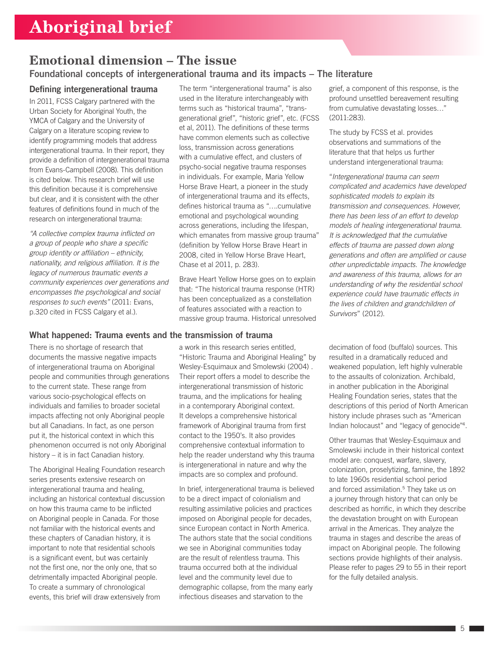## **Emotional dimension – The issue**

### Foundational concepts of intergenerational trauma and its impacts – The literature

### Defining intergenerational trauma

In 2011, FCSS Calgary partnered with the Urban Society for Aboriginal Youth, the YMCA of Calgary and the University of Calgary on a literature scoping review to identify programming models that address intergenerational trauma. In their report, they provide a definition of intergenerational trauma from Evans-Campbell (2008). This definition is cited below. This research brief will use this definition because it is comprehensive but clear, and it is consistent with the other features of definitions found in much of the research on intergenerational trauma:

*"A collective complex trauma inflicted on a group of people who share a specific group identity or affiliation – ethnicity, nationality, and religious affiliation. It is the legacy of numerous traumatic events a community experiences over generations and encompasses the psychological and social responses to such events"* (2011: Evans, p.320 cited in FCSS Calgary et al.).

#### What happened: Trauma events and the transmission of trauma

There is no shortage of research that documents the massive negative impacts of intergenerational trauma on Aboriginal people and communities through generations to the current state. These range from various socio-psychological effects on individuals and families to broader societal impacts affecting not only Aboriginal people but all Canadians. In fact, as one person put it, the historical context in which this phenomenon occurred is not only Aboriginal history – it is in fact Canadian history.

The Aboriginal Healing Foundation research series presents extensive research on intergenerational trauma and healing, including an historical contextual discussion on how this trauma came to be inflicted on Aboriginal people in Canada. For those not familiar with the historical events and these chapters of Canadian history, it is important to note that residential schools is a significant event, but was certainly not the first one, nor the only one, that so detrimentally impacted Aboriginal people. To create a summary of chronological events, this brief will draw extensively from

The term "intergenerational trauma" is also used in the literature interchangeably with terms such as "historical trauma", "transgenerational grief", "historic grief", etc. (FCSS et al, 2011). The definitions of these terms have common elements such as collective loss, transmission across generations with a cumulative effect, and clusters of psycho-social negative trauma responses in individuals. For example, Maria Yellow Horse Brave Heart, a pioneer in the study of intergenerational trauma and its effects, defines historical trauma as "….cumulative emotional and psychological wounding across generations, including the lifespan, which emanates from massive group trauma" (definition by Yellow Horse Brave Heart in 2008, cited in Yellow Horse Brave Heart, Chase et al 2011, p. 283).

Brave Heart Yellow Horse goes on to explain that: "The historical trauma response (HTR) has been conceptualized as a constellation of features associated with a reaction to massive group trauma. Historical unresolved

a work in this research series entitled, "Historic Trauma and Aboriginal Healing" by Wesley-Esquimaux and Smolewski (2004) . Their report offers a model to describe the intergenerational transmission of historic trauma, and the implications for healing in a contemporary Aboriginal context. It develops a comprehensive historical framework of Aboriginal trauma from first contact to the 1950's. It also provides comprehensive contextual information to help the reader understand why this trauma is intergenerational in nature and why the impacts are so complex and profound.

In brief, intergenerational trauma is believed to be a direct impact of colonialism and resulting assimilative policies and practices imposed on Aboriginal people for decades, since European contact in North America. The authors state that the social conditions we see in Aboriginal communities today are the result of relentless trauma. This trauma occurred both at the individual level and the community level due to demographic collapse, from the many early infectious diseases and starvation to the

grief, a component of this response, is the profound unsettled bereavement resulting from cumulative devastating losses…" (2011:283).

The study by FCSS et al. provides observations and summations of the literature that that helps us further understand intergenerational trauma:

"*Intergenerational trauma can seem complicated and academics have developed sophisticated models to explain its transmission and consequences. However, there has been less of an effort to develop models of healing intergenerational trauma. It is acknowledged that the cumulative effects of trauma are passed down along generations and often are amplified or cause other unpredictable impacts. The knowledge and awareness of this trauma, allows for an understanding of why the residential school experience could have traumatic effects in the lives of children and grandchildren of Survivors*" (2012).

decimation of food (buffalo) sources. This resulted in a dramatically reduced and weakened population, left highly vulnerable to the assaults of colonization. Archibald, in another publication in the Aboriginal Healing Foundation series, states that the descriptions of this period of North American history include phrases such as "American Indian holocaust" and "legacy of genocide"4.

Other traumas that Wesley-Esquimaux and Smolewski include in their historical context model are: conquest, warfare, slavery, colonization, proselytizing, famine, the 1892 to late 1960s residential school period and forced assimilation.<sup>5</sup> They take us on a journey through history that can only be described as horrific, in which they describe the devastation brought on with European arrival in the Americas. They analyze the trauma in stages and describe the areas of impact on Aboriginal people. The following sections provide highlights of their analysis. Please refer to pages 29 to 55 in their report for the fully detailed analysis.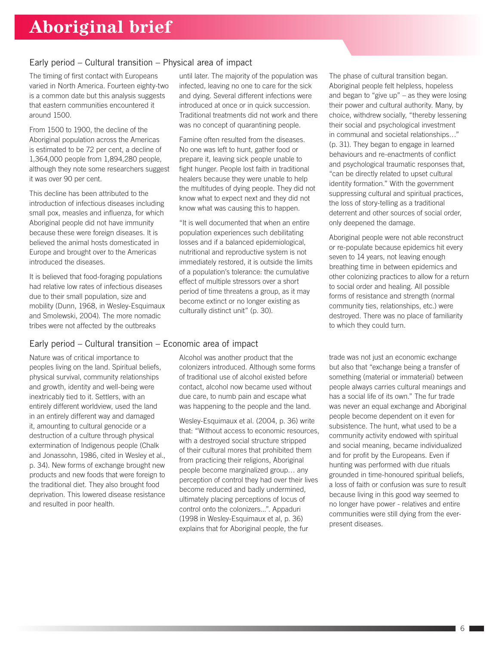### Early period – Cultural transition – Physical area of impact

The timing of first contact with Europeans varied in North America. Fourteen eighty-two is a common date but this analysis suggests that eastern communities encountered it around 1500.

From 1500 to 1900, the decline of the Aboriginal population across the Americas is estimated to be 72 per cent, a decline of 1,364,000 people from 1,894,280 people, although they note some researchers suggest it was over 90 per cent.

This decline has been attributed to the introduction of infectious diseases including small pox, measles and influenza, for which Aboriginal people did not have immunity because these were foreign diseases. It is believed the animal hosts domesticated in Europe and brought over to the Americas introduced the diseases.

It is believed that food-foraging populations had relative low rates of infectious diseases due to their small population, size and mobility (Dunn, 1968, in Wesley-Esquimaux and Smolewski, 2004). The more nomadic tribes were not affected by the outbreaks

### Early period – Cultural transition – Economic area of impact

Nature was of critical importance to peoples living on the land. Spiritual beliefs, physical survival, community relationships and growth, identity and well-being were inextricably tied to it. Settlers, with an entirely different worldview, used the land in an entirely different way and damaged it, amounting to cultural genocide or a destruction of a culture through physical extermination of Indigenous people (Chalk and Jonassohn, 1986, cited in Wesley et al., p. 34). New forms of exchange brought new products and new foods that were foreign to the traditional diet. They also brought food deprivation. This lowered disease resistance and resulted in poor health.

until later. The majority of the population was infected, leaving no one to care for the sick and dying. Several different infections were introduced at once or in quick succession. Traditional treatments did not work and there was no concept of quarantining people.

Famine often resulted from the diseases. No one was left to hunt, gather food or prepare it, leaving sick people unable to fight hunger. People lost faith in traditional healers because they were unable to help the multitudes of dying people. They did not know what to expect next and they did not know what was causing this to happen.

"It is well documented that when an entire population experiences such debilitating losses and if a balanced epidemiological, nutritional and reproductive system is not immediately restored, it is outside the limits of a population's tolerance: the cumulative effect of multiple stressors over a short period of time threatens a group, as it may become extinct or no longer existing as culturally distinct unit" (p. 30).

Alcohol was another product that the colonizers introduced. Although some forms of traditional use of alcohol existed before contact, alcohol now became used without due care, to numb pain and escape what was happening to the people and the land.

Wesley-Esquimaux et al. (2004, p. 36) write that: "Without access to economic resources, with a destroyed social structure stripped of their cultural mores that prohibited them from practicing their religions, Aboriginal people become marginalized group… any perception of control they had over their lives become reduced and badly undermined, ultimately placing perceptions of locus of control onto the colonizers...". Appaduri (1998 in Wesley-Esquimaux et al, p. 36) explains that for Aboriginal people, the fur

The phase of cultural transition began. Aboriginal people felt helpless, hopeless and began to "give up" – as they were losing their power and cultural authority. Many, by choice, withdrew socially, "thereby lessening their social and psychological investment in communal and societal relationships…" (p. 31). They began to engage in learned behaviours and re-enactments of conflict and psychological traumatic responses that, "can be directly related to upset cultural identity formation." With the government suppressing cultural and spiritual practices, the loss of story-telling as a traditional deterrent and other sources of social order, only deepened the damage.

Aboriginal people were not able reconstruct or re-populate because epidemics hit every seven to 14 years, not leaving enough breathing time in between epidemics and other colonizing practices to allow for a return to social order and healing. All possible forms of resistance and strength (normal community ties, relationships, etc.) were destroyed. There was no place of familiarity to which they could turn.

trade was not just an economic exchange but also that "exchange being a transfer of something (material or immaterial) between people always carries cultural meanings and has a social life of its own." The fur trade was never an equal exchange and Aboriginal people become dependent on it even for subsistence. The hunt, what used to be a community activity endowed with spiritual and social meaning, became individualized and for profit by the Europeans. Even if hunting was performed with due rituals grounded in time-honoured spiritual beliefs, a loss of faith or confusion was sure to result because living in this good way seemed to no longer have power - relatives and entire communities were still dying from the everpresent diseases.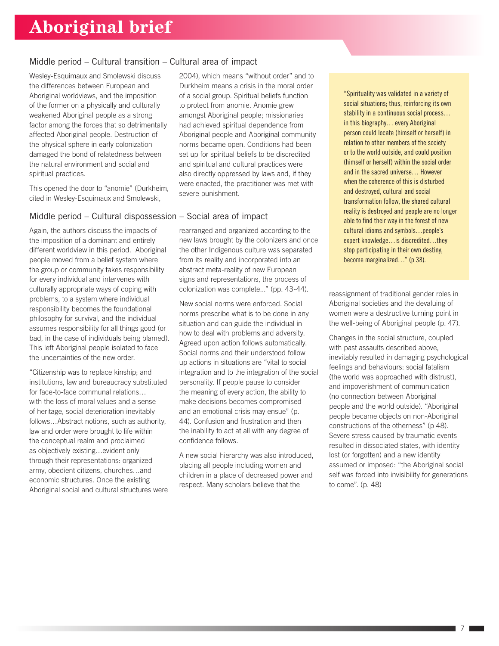### Middle period – Cultural transition – Cultural area of impact

Wesley-Esquimaux and Smolewski discuss the differences between European and Aboriginal worldviews, and the imposition of the former on a physically and culturally weakened Aboriginal people as a strong factor among the forces that so detrimentally affected Aboriginal people. Destruction of the physical sphere in early colonization damaged the bond of relatedness between the natural environment and social and spiritual practices.

This opened the door to "anomie" (Durkheim, cited in Wesley-Esquimaux and Smolewski,

### Middle period – Cultural dispossession – Social area of impact

Again, the authors discuss the impacts of the imposition of a dominant and entirely different worldview in this period. Aboriginal people moved from a belief system where the group or community takes responsibility for every individual and intervenes with culturally appropriate ways of coping with problems, to a system where individual responsibility becomes the foundational philosophy for survival, and the individual assumes responsibility for all things good (or bad, in the case of individuals being blamed). This left Aboriginal people isolated to face the uncertainties of the new order.

"Citizenship was to replace kinship; and institutions, law and bureaucracy substituted for face-to-face communal relations… with the loss of moral values and a sense of heritage, social deterioration inevitably follows…Abstract notions, such as authority, law and order were brought to life within the conceptual realm and proclaimed as objectively existing…evident only through their representations: organized army, obedient citizens, churches…and economic structures. Once the existing Aboriginal social and cultural structures were 2004), which means "without order" and to Durkheim means a crisis in the moral order of a social group. Spiritual beliefs function to protect from anomie. Anomie grew amongst Aboriginal people; missionaries had achieved spiritual dependence from Aboriginal people and Aboriginal community norms became open. Conditions had been set up for spiritual beliefs to be discredited and spiritual and cultural practices were also directly oppressed by laws and, if they were enacted, the practitioner was met with severe punishment.

rearranged and organized according to the new laws brought by the colonizers and once the other Indigenous culture was separated from its reality and incorporated into an abstract meta-reality of new European signs and representations, the process of colonization was complete..." (pp. 43-44).

New social norms were enforced. Social norms prescribe what is to be done in any situation and can guide the individual in how to deal with problems and adversity. Agreed upon action follows automatically. Social norms and their understood follow up actions in situations are "vital to social integration and to the integration of the social personality. If people pause to consider the meaning of every action, the ability to make decisions becomes compromised and an emotional crisis may ensue" (p. 44). Confusion and frustration and then the inability to act at all with any degree of confidence follows.

A new social hierarchy was also introduced, placing all people including women and children in a place of decreased power and respect. Many scholars believe that the

"Spirituality was validated in a variety of social situations; thus, reinforcing its own stability in a continuous social process... in this biography… every Aboriginal person could locate (himself or herself) in relation to other members of the society or to the world outside, and could position (himself or herself) within the social order and in the sacred universe… However when the coherence of this is disturbed and destroyed, cultural and social transformation follow, the shared cultural reality is destroyed and people are no longer able to find their way in the forest of new cultural idioms and symbols…people's expert knowledge…is discredited…they stop participating in their own destiny, become marginalized..." (p 38).

reassignment of traditional gender roles in Aboriginal societies and the devaluing of women were a destructive turning point in the well-being of Aboriginal people (p. 47).

Changes in the social structure, coupled with past assaults described above, inevitably resulted in damaging psychological feelings and behaviours: social fatalism (the world was approached with distrust), and impoverishment of communication (no connection between Aboriginal people and the world outside). "Aboriginal people became objects on non-Aboriginal constructions of the otherness" (p 48). Severe stress caused by traumatic events resulted in dissociated states, with identity lost (or forgotten) and a new identity assumed or imposed: "the Aboriginal social self was forced into invisibility for generations to come". (p. 48)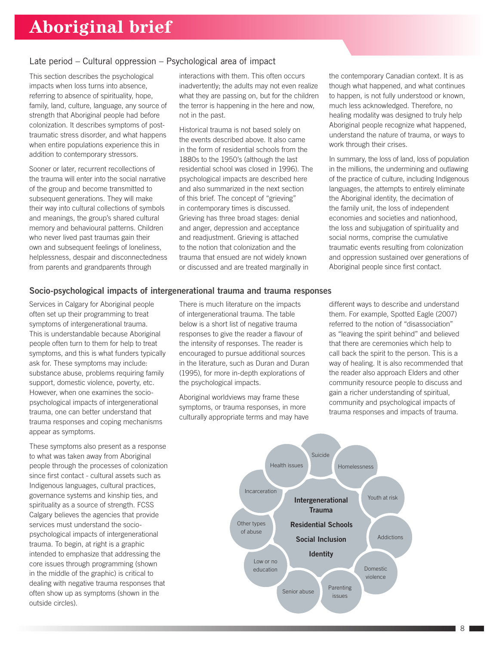#### Late period – Cultural oppression – Psychological area of impact

This section describes the psychological impacts when loss turns into absence, referring to absence of spirituality, hope, family, land, culture, language, any source of strength that Aboriginal people had before colonization. It describes symptoms of posttraumatic stress disorder, and what happens when entire populations experience this in addition to contemporary stressors.

Sooner or later, recurrent recollections of the trauma will enter into the social narrative of the group and become transmitted to subsequent generations. They will make their way into cultural collections of symbols and meanings, the group's shared cultural memory and behavioural patterns. Children who never lived past traumas gain their own and subsequent feelings of loneliness, helplessness, despair and disconnectedness from parents and grandparents through

interactions with them. This often occurs inadvertently; the adults may not even realize what they are passing on, but for the children the terror is happening in the here and now, not in the past.

Historical trauma is not based solely on the events described above. It also came in the form of residential schools from the 1880s to the 1950's (although the last residential school was closed in 1996). The psychological impacts are described here and also summarized in the next section of this brief. The concept of "grieving" in contemporary times is discussed. Grieving has three broad stages: denial and anger, depression and acceptance and readjustment. Grieving is attached to the notion that colonization and the trauma that ensued are not widely known or discussed and are treated marginally in

the contemporary Canadian context. It is as though what happened, and what continues to happen, is not fully understood or known, much less acknowledged. Therefore, no healing modality was designed to truly help Aboriginal people recognize what happened, understand the nature of trauma, or ways to work through their crises.

In summary, the loss of land, loss of population in the millions, the undermining and outlawing of the practice of culture, including Indigenous languages, the attempts to entirely eliminate the Aboriginal identity, the decimation of the family unit, the loss of independent economies and societies and nationhood, the loss and subjugation of spirituality and social norms, comprise the cumulative traumatic events resulting from colonization and oppression sustained over generations of Aboriginal people since first contact.

#### Socio-psychological impacts of intergenerational trauma and trauma responses

Services in Calgary for Aboriginal people often set up their programming to treat symptoms of intergenerational trauma. This is understandable because Aboriginal people often turn to them for help to treat symptoms, and this is what funders typically ask for. These symptoms may include: substance abuse, problems requiring family support, domestic violence, poverty, etc. However, when one examines the sociopsychological impacts of intergenerational trauma, one can better understand that trauma responses and coping mechanisms appear as symptoms.

These symptoms also present as a response to what was taken away from Aboriginal people through the processes of colonization since first contact - cultural assets such as Indigenous languages, cultural practices, governance systems and kinship ties, and spirituality as a source of strength. FCSS Calgary believes the agencies that provide services must understand the sociopsychological impacts of intergenerational trauma. To begin, at right is a graphic intended to emphasize that addressing the core issues through programming (shown in the middle of the graphic) is critical to dealing with negative trauma responses that often show up as symptoms (shown in the outside circles).

There is much literature on the impacts of intergenerational trauma. The table below is a short list of negative trauma responses to give the reader a flavour of the intensity of responses. The reader is encouraged to pursue additional sources in the literature, such as Duran and Duran (1995), for more in-depth explorations of the psychological impacts.

Aboriginal worldviews may frame these symptoms, or trauma responses, in more culturally appropriate terms and may have different ways to describe and understand them. For example, Spotted Eagle (2007) referred to the notion of "disassociation" as "leaving the spirit behind" and believed that there are ceremonies which help to call back the spirit to the person. This is a way of healing. It is also recommended that the reader also approach Elders and other community resource people to discuss and gain a richer understanding of spiritual, community and psychological impacts of trauma responses and impacts of trauma.

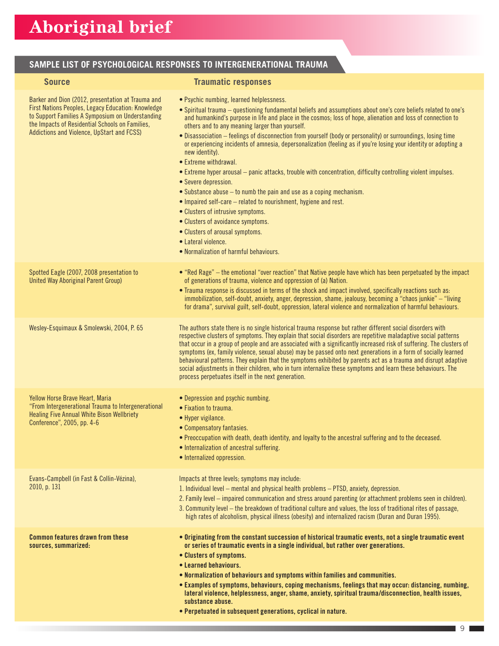### **SAMPLE LIST OF PSYCHOLOGICAL RESPONSES TO INTERGENERATIONAL TRAUMA**

### **Source Traumatic responses**

| Barker and Dion (2012, presentation at Trauma and<br>First Nations Peoples, Legacy Education: Knowledge<br>to Support Families A Symposium on Understanding<br>the Impacts of Residential Schools on Families,<br>Addictions and Violence, UpStart and FCSS) | • Psychic numbing, learned helplessness.<br>. Spiritual trauma - questioning fundamental beliefs and assumptions about one's core beliefs related to one's<br>and humankind's purpose in life and place in the cosmos; loss of hope, alienation and loss of connection to<br>others and to any meaning larger than yourself.<br>. Disassociation – feelings of disconnection from yourself (body or personality) or surroundings, losing time<br>or experiencing incidents of amnesia, depersonalization (feeling as if you're losing your identity or adopting a<br>new identity).<br>• Extreme withdrawal.<br>• Extreme hyper arousal – panic attacks, trouble with concentration, difficulty controlling violent impulses.<br>• Severe depression.<br>• Substance abuse – to numb the pain and use as a coping mechanism.<br>• Impaired self-care – related to nourishment, hygiene and rest.<br>• Clusters of intrusive symptoms.<br>• Clusters of avoidance symptoms.<br>• Clusters of arousal symptoms.<br>• Lateral violence.<br>• Normalization of harmful behaviours. |
|--------------------------------------------------------------------------------------------------------------------------------------------------------------------------------------------------------------------------------------------------------------|--------------------------------------------------------------------------------------------------------------------------------------------------------------------------------------------------------------------------------------------------------------------------------------------------------------------------------------------------------------------------------------------------------------------------------------------------------------------------------------------------------------------------------------------------------------------------------------------------------------------------------------------------------------------------------------------------------------------------------------------------------------------------------------------------------------------------------------------------------------------------------------------------------------------------------------------------------------------------------------------------------------------------------------------------------------------------------|
| Spotted Eagle (2007, 2008 presentation to<br><b>United Way Aboriginal Parent Group)</b>                                                                                                                                                                      | • "Red Rage" – the emotional "over reaction" that Native people have which has been perpetuated by the impact<br>of generations of trauma, violence and oppression of (a) Nation.<br>. Trauma response is discussed in terms of the shock and impact involved, specifically reactions such as:<br>immobilization, self-doubt, anxiety, anger, depression, shame, jealousy, becoming a "chaos junkie" - "living<br>for drama", survival guilt, self-doubt, oppression, lateral violence and normalization of harmful behaviours.                                                                                                                                                                                                                                                                                                                                                                                                                                                                                                                                                |
| Wesley-Esquimaux & Smolewski, 2004, P. 65                                                                                                                                                                                                                    | The authors state there is no single historical trauma response but rather different social disorders with<br>respective clusters of symptoms. They explain that social disorders are repetitive maladaptive social patterns<br>that occur in a group of people and are associated with a significantly increased risk of suffering. The clusters of<br>symptoms (ex, family violence, sexual abuse) may be passed onto next generations in a form of socially learned<br>behavioural patterns. They explain that the symptoms exhibited by parents act as a trauma and disrupt adaptive<br>social adjustments in their children, who in turn internalize these symptoms and learn these behaviours. The<br>process perpetuates itself in the next generation.                                                                                                                                                                                                                                                                                                                 |
| Yellow Horse Brave Heart, Maria<br>"From Intergenerational Trauma to Intergenerational<br><b>Healing Five Annual White Bison Wellbriety</b><br>Conference", 2005, pp. 4-6                                                                                    | • Depression and psychic numbing.<br>• Fixation to trauma.<br>• Hyper vigilance.<br>• Compensatory fantasies.<br>. Preoccupation with death, death identity, and loyalty to the ancestral suffering and to the deceased.<br>• Internalization of ancestral suffering.<br>• Internalized oppression.                                                                                                                                                                                                                                                                                                                                                                                                                                                                                                                                                                                                                                                                                                                                                                            |
| Evans-Campbell (in Fast & Collin-Vézina),<br>2010, p. 131                                                                                                                                                                                                    | Impacts at three levels; symptoms may include:<br>1. Individual level – mental and physical health problems – PTSD, anxiety, depression.<br>2. Family level - impaired communication and stress around parenting (or attachment problems seen in children).<br>3. Community level - the breakdown of traditional culture and values, the loss of traditional rites of passage,<br>high rates of alcoholism, physical illness (obesity) and internalized racism (Duran and Duran 1995).                                                                                                                                                                                                                                                                                                                                                                                                                                                                                                                                                                                         |
| <b>Common features drawn from these</b><br>sources, summarized:                                                                                                                                                                                              | • Originating from the constant succession of historical traumatic events, not a single traumatic event<br>or series of traumatic events in a single individual, but rather over generations.<br>• Clusters of symptoms.<br>• Learned behaviours.<br>. Normalization of behaviours and symptoms within families and communities.<br>. Examples of symptoms, behaviours, coping mechanisms, feelings that may occur: distancing, numbing,<br>lateral violence, helplessness, anger, shame, anxiety, spiritual trauma/disconnection, health issues,<br>substance abuse.<br>• Perpetuated in subsequent generations, cyclical in nature.                                                                                                                                                                                                                                                                                                                                                                                                                                          |

٦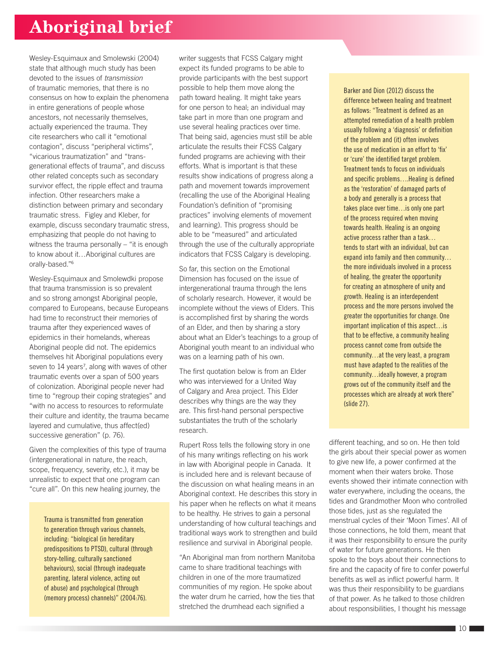Wesley-Esquimaux and Smolewski (2004) state that although much study has been devoted to the issues of *transmission* of traumatic memories, that there is no consensus on how to explain the phenomena in entire generations of people whose ancestors, not necessarily themselves, actually experienced the trauma. They cite researchers who call it "emotional contagion", discuss "peripheral victims", "vicarious traumatization" and "transgenerational effects of trauma", and discuss other related concepts such as secondary survivor effect, the ripple effect and trauma infection. Other researchers make a distinction between primary and secondary traumatic stress. Figley and Kleber, for example, discuss secondary traumatic stress, emphasizing that people do not having to witness the trauma personally – "it is enough to know about it…Aboriginal cultures are orally-based."<sup>6</sup>

Wesley-Esquimaux and Smolewdki propose that trauma transmission is so prevalent and so strong amongst Aboriginal people, compared to Europeans, because Europeans had time to reconstruct their memories of trauma after they experienced waves of epidemics in their homelands, whereas Aboriginal people did not. The epidemics themselves hit Aboriginal populations every seven to 14 years<sup>7</sup>, along with waves of other traumatic events over a span of 500 years of colonization. Aboriginal people never had time to "regroup their coping strategies" and "with no access to resources to reformulate their culture and identity, the trauma became layered and cumulative, thus affect(ed) successive generation" (p. 76).

Given the complexities of this type of trauma (intergenerational in nature, the reach, scope, frequency, severity, etc.), it may be unrealistic to expect that one program can "cure all". On this new healing journey, the

> Trauma is transmitted from generation to generation through various channels, including: "biological (in hereditary predispositions to PTSD), cultural (through story-telling, culturally sanctioned behaviours), social (through inadequate parenting, lateral violence, acting out of abuse) and psychological (through (memory process) channels)" (2004:76).

writer suggests that FCSS Calgary might expect its funded programs to be able to provide participants with the best support possible to help them move along the path toward healing. It might take years for one person to heal; an individual may take part in more than one program and use several healing practices over time. That being said, agencies must still be able articulate the results their FCSS Calgary funded programs are achieving with their efforts. What is important is that these results show indications of progress along a path and movement towards improvement (recalling the use of the Aboriginal Healing Foundation's definition of "promising practices" involving elements of movement and learning). This progress should be able to be "measured" and articulated through the use of the culturally appropriate indicators that FCSS Calgary is developing.

So far, this section on the Emotional Dimension has focused on the issue of intergenerational trauma through the lens of scholarly research. However, it would be incomplete without the views of Elders. This is accomplished first by sharing the words of an Elder, and then by sharing a story about what an Elder's teachings to a group of Aboriginal youth meant to an individual who was on a learning path of his own.

The first quotation below is from an Elder who was interviewed for a United Way of Calgary and Area project. This Elder describes why things are the way they are. This first-hand personal perspective substantiates the truth of the scholarly research.

Rupert Ross tells the following story in one of his many writings reflecting on his work in law with Aboriginal people in Canada. It is included here and is relevant because of the discussion on what healing means in an Aboriginal context. He describes this story in his paper when he reflects on what it means to be healthy. He strives to gain a personal understanding of how cultural teachings and traditional ways work to strengthen and build resilience and survival in Aboriginal people.

"An Aboriginal man from northern Manitoba came to share traditional teachings with children in one of the more traumatized communities of my region. He spoke about the water drum he carried, how the ties that stretched the drumhead each signified a

Barker and Dion (2012) discuss the difference between healing and treatment as follows: "Treatment is defined as an attempted remediation of a health problem usually following a 'diagnosis' or definition of the problem and (it) often involves the use of medication in an effort to 'fix' or 'cure' the identified target problem. Treatment tends to focus on individuals and specific problems….Healing is defined as the 'restoration' of damaged parts of a body and generally is a process that takes place over time…is only one part of the process required when moving towards health. Healing is an ongoing active process rather than a task… tends to start with an individual, but can expand into family and then community… the more individuals involved in a process of healing, the greater the opportunity for creating an atmosphere of unity and growth. Healing is an interdependent process and the more persons involved the greater the opportunities for change. One important implication of this aspect…is that to be effective, a community healing process cannot come from outside the community…at the very least, a program must have adapted to the realities of the community…ideally however, a program grows out of the community itself and the processes which are already at work there" (slide 27).

different teaching, and so on. He then told the girls about their special power as women to give new life, a power confirmed at the moment when their waters broke. Those events showed their intimate connection with water everywhere, including the oceans, the tides and Grandmother Moon who controlled those tides, just as she regulated the menstrual cycles of their 'Moon Times'. All of those connections, he told them, meant that it was their responsibility to ensure the purity of water for future generations. He then spoke to the boys about their connections to fire and the capacity of fire to confer powerful benefits as well as inflict powerful harm. It was thus their responsibility to be guardians of that power. As he talked to those children about responsibilities, I thought his message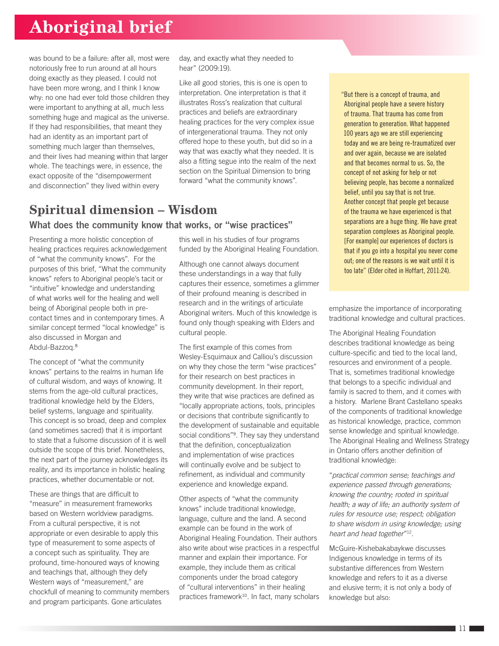was bound to be a failure: after all, most were notoriously free to run around at all hours doing exactly as they pleased. I could not have been more wrong, and I think I know why: no one had ever told those children they were important to anything at all, much less something huge and magical as the universe. If they had responsibilities, that meant they had an identity as an important part of something much larger than themselves, and their lives had meaning within that larger whole. The teachings were, in essence, the exact opposite of the "disempowerment and disconnection" they lived within every

day, and exactly what they needed to hear" (2009:19).

Like all good stories, this is one is open to interpretation. One interpretation is that it illustrates Ross's realization that cultural practices and beliefs are extraordinary healing practices for the very complex issue of intergenerational trauma. They not only offered hope to these youth, but did so in a way that was exactly what they needed. It is also a fitting segue into the realm of the next section on the Spiritual Dimension to bring forward "what the community knows".

### **Spiritual dimension – Wisdom** What does the community know that works, or "wise practices"

Presenting a more holistic conception of healing practices requires acknowledgement of "what the community knows". For the purposes of this brief, "What the community knows" refers to Aboriginal people's tacit or "intuitive" knowledge and understanding of what works well for the healing and well being of Aboriginal people both in precontact times and in contemporary times. A similar concept termed "local knowledge" is also discussed in Morgan and Abdul-Bazzoq.<sup>8</sup>

The concept of "what the community knows" pertains to the realms in human life of cultural wisdom, and ways of knowing. It stems from the age-old cultural practices, traditional knowledge held by the Elders, belief systems, language and spirituality. This concept is so broad, deep and complex (and sometimes sacred) that it is important to state that a fulsome discussion of it is well outside the scope of this brief. Nonetheless, the next part of the journey acknowledges its reality, and its importance in holistic healing practices, whether documentable or not.

These are things that are difficult to "measure" in measurement frameworks based on Western worldview paradigms. From a cultural perspective, it is not appropriate or even desirable to apply this type of measurement to some aspects of a concept such as spirituality. They are profound, time-honoured ways of knowing and teachings that, although they defy Western ways of "measurement," are chockfull of meaning to community members and program participants. Gone articulates

this well in his studies of four programs funded by the Aboriginal Healing Foundation.

Although one cannot always document these understandings in a way that fully captures their essence, sometimes a glimmer of their profound meaning is described in research and in the writings of articulate Aboriginal writers. Much of this knowledge is found only though speaking with Elders and cultural people.

The first example of this comes from Wesley-Esquimaux and Calliou's discussion on why they chose the term "wise practices" for their research on best practices in community development. In their report, they write that wise practices are defined as "locally appropriate actions, tools, principles or decisions that contribute significantly to the development of sustainable and equitable social conditions"<sup>9</sup>. They say they understand that the definition, conceptualization and implementation of wise practices will continually evolve and be subject to refinement, as individual and community experience and knowledge expand.

Other aspects of "what the community knows" include traditional knowledge, language, culture and the land. A second example can be found in the work of Aboriginal Healing Foundation. Their authors also write about wise practices in a respectful manner and explain their importance. For example, they include them as critical components under the broad category of "cultural interventions" in their healing practices framework<sup>10</sup>. In fact, many scholars "But there is a concept of trauma, and Aboriginal people have a severe history of trauma. That trauma has come from generation to generation. What happened 100 years ago we are still experiencing today and we are being re-traumatized over and over again, because we are isolated and that becomes normal to us. So, the concept of not asking for help or not believing people, has become a normalized belief, until you say that is not true. Another concept that people get because of the trauma we have experienced is that separations are a huge thing. We have great separation complexes as Aboriginal people. [For example] our experiences of doctors is that if you go into a hospital you never come out; one of the reasons is we wait until it is too late" (Elder cited in Hoffart, 2011:24).

emphasize the importance of incorporating traditional knowledge and cultural practices.

The Aboriginal Healing Foundation describes traditional knowledge as being culture-specific and tied to the local land, resources and environment of a people. That is, sometimes traditional knowledge that belongs to a specific individual and family is sacred to them, and it comes with a history. Marlene Brant Castellano speaks of the components of traditional knowledge as historical knowledge, practice, common sense knowledge and spiritual knowledge. The Aboriginal Healing and Wellness Strategy in Ontario offers another definition of traditional knowledge:

"*practical common sense; teachings and experience passed through generations; knowing the country; rooted in spiritual health; a way of life; an authority system of rules for resource use; respect; obligation to share wisdom in using knowledge; using heart and head together*"12.

McGuire-Kishebakabaykwe discusses Indigenous knowledge in terms of its substantive differences from Western knowledge and refers to it as a diverse and elusive term; it is not only a body of knowledge but also: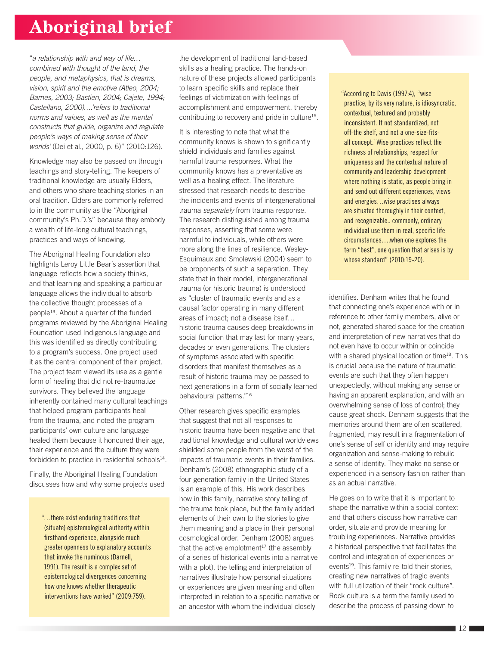"*a relationship with and way of life… combined with thought of the land, the people, and metaphysics, that is dreams, vision, spirit and the emotive (Atleo, 2004; Barnes, 2003; Bastien, 2004; Cajete, 1994; Castellano, 2000)….'refers to traditional norms and values, as well as the mental constructs that guide, organize and regulate people's ways of making sense of their worlds'* (Dei et al., 2000, p. 6)" (2010:126).

Knowledge may also be passed on through teachings and story-telling. The keepers of traditional knowledge are usually Elders, and others who share teaching stories in an oral tradition. Elders are commonly referred to in the community as the "Aboriginal community's Ph.D.'s" because they embody a wealth of life-long cultural teachings, practices and ways of knowing.

The Aboriginal Healing Foundation also highlights Leroy Little Bear's assertion that language reflects how a society thinks, and that learning and speaking a particular language allows the individual to absorb the collective thought processes of a people13. About a quarter of the funded programs reviewed by the Aboriginal Healing Foundation used Indigenous language and this was identified as directly contributing to a program's success. One project used it as the central component of their project. The project team viewed its use as a gentle form of healing that did not re-traumatize survivors. They believed the language inherently contained many cultural teachings that helped program participants heal from the trauma, and noted the program participants' own culture and language healed them because it honoured their age, their experience and the culture they were forbidden to practice in residential schools $14$ .

Finally, the Aboriginal Healing Foundation discusses how and why some projects used

"…there exist enduring traditions that (situate) epistemological authority within firsthand experience, alongside much greater openness to explanatory accounts that invoke the numinous (Darnell, 1991). The result is a complex set of epistemological divergences concerning how one knows whether therapeutic interventions have worked" (2009:759).

the development of traditional land-based skills as a healing practice. The hands-on nature of these projects allowed participants to learn specific skills and replace their feelings of victimization with feelings of accomplishment and empowerment, thereby contributing to recovery and pride in culture15.

It is interesting to note that what the community knows is shown to significantly shield individuals and families against harmful trauma responses. What the community knows has a preventative as well as a healing effect. The literature stressed that research needs to describe the incidents and events of intergenerational trauma *separately* from trauma response. The research distinguished among trauma responses, asserting that some were harmful to individuals, while others were more along the lines of resilience. Wesley-Esquimaux and Smolewski (2004) seem to be proponents of such a separation. They state that in their model, intergenerational trauma (or historic trauma) is understood as "cluster of traumatic events and as a causal factor operating in many different areas of impact; not a disease itself… historic trauma causes deep breakdowns in social function that may last for many years, decades or even generations. The clusters of symptoms associated with specific disorders that manifest themselves as a result of historic trauma may be passed to next generations in a form of socially learned behavioural patterns."<sup>16</sup>

Other research gives specific examples that suggest that not all responses to historic trauma have been negative and that traditional knowledge and cultural worldviews shielded some people from the worst of the impacts of traumatic events in their families. Denham's (2008) ethnographic study of a four-generation family in the United States is an example of this. His work describes how in this family, narrative story telling of the trauma took place, but the family added elements of their own to the stories to give them meaning and a place in their personal cosmological order. Denham (2008) argues that the active emplotment $17$  (the assembly of a series of historical events into a narrative with a plot), the telling and interpretation of narratives illustrate how personal situations or experiences are given meaning and often interpreted in relation to a specific narrative or an ancestor with whom the individual closely

"According to Davis (1997:4), "wise practice, by its very nature, is idiosyncratic, contextual, textured and probably inconsistent. It not standardized, not off-the shelf, and not a one-size-fitsall concept.' Wise practices reflect the richness of relationships, respect for uniqueness and the contextual nature of community and leadership development where nothing is static, as people bring in and send out different experiences, views and energies…wise practises always are situated thoroughly in their context, and recognizable.. commonly, ordinary individual use them in real, specific life circumstances….when one explores the term "best", one question that arises is by whose standard" (2010:19-20).

identifies. Denham writes that he found that connecting one's experience with or in reference to other family members, alive or not, generated shared space for the creation and interpretation of new narratives that do not even have to occur within or coincide with a shared physical location or time<sup>18</sup>. This is crucial because the nature of traumatic events are such that they often happen unexpectedly, without making any sense or having an apparent explanation, and with an overwhelming sense of loss of control; they cause great shock. Denham suggests that the memories around them are often scattered, fragmented, may result in a fragmentation of one's sense of self or identity and may require organization and sense-making to rebuild a sense of identity. They make no sense or experienced in a sensory fashion rather than as an actual narrative.

He goes on to write that it is important to shape the narrative within a social context and that others discuss how narrative can order, situate and provide meaning for troubling experiences. Narrative provides a historical perspective that facilitates the control and integration of experiences or events<sup>19</sup>. This family re-told their stories, creating new narratives of tragic events with full utilization of their "rock culture". Rock culture is a term the family used to describe the process of passing down to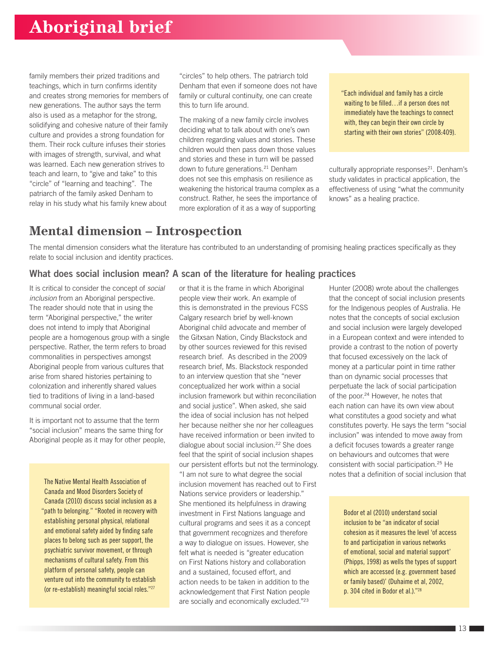family members their prized traditions and teachings, which in turn confirms identity and creates strong memories for members of new generations. The author says the term also is used as a metaphor for the strong, solidifying and cohesive nature of their family culture and provides a strong foundation for them. Their rock culture infuses their stories with images of strength, survival, and what was learned. Each new generation strives to teach and learn, to "give and take" to this "circle" of "learning and teaching". The patriarch of the family asked Denham to relay in his study what his family knew about

"circles" to help others. The patriarch told Denham that even if someone does not have family or cultural continuity, one can create this to turn life around.

The making of a new family circle involves deciding what to talk about with one's own children regarding values and stories. These children would then pass down those values and stories and these in turn will be passed down to future generations.<sup>21</sup> Denham does not see this emphasis on resilience as weakening the historical trauma complex as a construct. Rather, he sees the importance of more exploration of it as a way of supporting

"Each individual and family has a circle waiting to be filled…if a person does not immediately have the teachings to connect with, they can begin their own circle by starting with their own stories" (2008:409).

culturally appropriate responses<sup>21</sup>. Denham's study validates in practical application, the effectiveness of using "what the community knows" as a healing practice.

### **Mental dimension – Introspection**

The mental dimension considers what the literature has contributed to an understanding of promising healing practices specifically as they relate to social inclusion and identity practices.

### What does social inclusion mean? A scan of the literature for healing practices

It is critical to consider the concept of *social inclusion* from an Aboriginal perspective. The reader should note that in using the term "Aboriginal perspective," the writer does not intend to imply that Aboriginal people are a homogenous group with a single perspective. Rather, the term refers to broad commonalities in perspectives amongst Aboriginal people from various cultures that arise from shared histories pertaining to colonization and inherently shared values tied to traditions of living in a land-based communal social order.

It is important not to assume that the term "social inclusion" means the same thing for Aboriginal people as it may for other people,

The Native Mental Health Association of Canada and Mood Disorders Society of Canada (2010) discuss social inclusion as a "path to belonging." "Rooted in recovery with establishing personal physical, relational and emotional safety aided by finding safe places to belong such as peer support, the psychiatric survivor movement, or through mechanisms of cultural safety. From this platform of personal safety, people can venture out into the community to establish (or re-establish) meaningful social roles."27

or that it is the frame in which Aboriginal people view their work. An example of this is demonstrated in the previous FCSS Calgary research brief by well-known Aboriginal child advocate and member of the Gitxsan Nation, Cindy Blackstock and by other sources reviewed for this revised research brief. As described in the 2009 research brief, Ms. Blackstock responded to an interview question that she "never conceptualized her work within a social inclusion framework but within reconciliation and social justice". When asked, she said the idea of social inclusion has not helped her because neither she nor her colleagues have received information or been invited to dialogue about social inclusion.22 She does feel that the spirit of social inclusion shapes our persistent efforts but not the terminology. "I am not sure to what degree the social inclusion movement has reached out to First Nations service providers or leadership." She mentioned its helpfulness in drawing investment in First Nations language and cultural programs and sees it as a concept that government recognizes and therefore a way to dialogue on issues. However, she felt what is needed is "greater education on First Nations history and collaboration and a sustained, focused effort, and action needs to be taken in addition to the acknowledgement that First Nation people are socially and economically excluded."<sup>23</sup>

Hunter (2008) wrote about the challenges that the concept of social inclusion presents for the Indigenous peoples of Australia. He notes that the concepts of social exclusion and social inclusion were largely developed in a European context and were intended to provide a contrast to the notion of poverty that focused excessively on the lack of money at a particular point in time rather than on dynamic social processes that perpetuate the lack of social participation of the poor.<sup>24</sup> However, he notes that each nation can have its own view about what constitutes a good society and what constitutes poverty. He says the term "social inclusion" was intended to move away from a deficit focuses towards a greater range on behaviours and outcomes that were consistent with social participation.25 He notes that a definition of social inclusion that

> Bodor et al (2010) understand social inclusion to be "an indicator of social cohesion as it measures the level 'of access to and participation in various networks of emotional, social and material support' (Phipps, 1998) as wells the types of support which are accessed (e.g. government based or family based)' (Duhaime et al, 2002, p. 304 cited in Bodor et al.)."28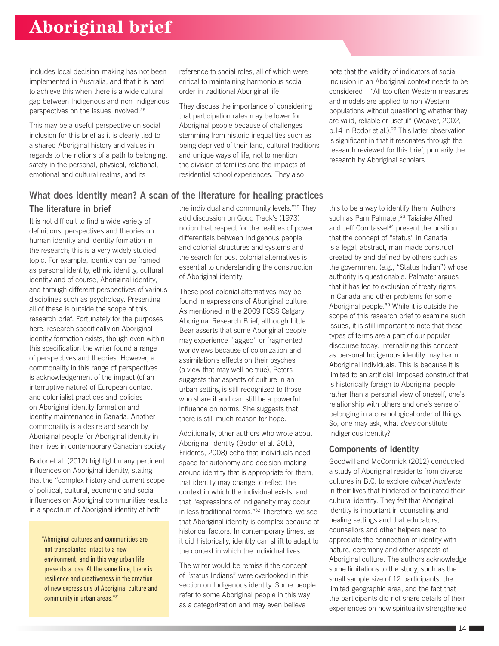includes local decision-making has not been implemented in Australia, and that it is hard to achieve this when there is a wide cultural gap between Indigenous and non-Indigenous perspectives on the issues involved.<sup>26</sup>

This may be a useful perspective on social inclusion for this brief as it is clearly tied to a shared Aboriginal history and values in regards to the notions of a path to belonging, safety in the personal, physical, relational, emotional and cultural realms, and its

reference to social roles, all of which were critical to maintaining harmonious social order in traditional Aboriginal life.

They discuss the importance of considering that participation rates may be lower for Aboriginal people because of challenges stemming from historic inequalities such as being deprived of their land, cultural traditions and unique ways of life, not to mention the division of families and the impacts of residential school experiences. They also

note that the validity of indicators of social inclusion in an Aboriginal context needs to be considered – "All too often Western measures and models are applied to non-Western populations without questioning whether they are valid, reliable or useful" (Weaver, 2002, p.14 in Bodor et al.).<sup>29</sup> This latter observation is significant in that it resonates through the research reviewed for this brief, primarily the research by Aboriginal scholars.

#### The literature in brief the individual and community levels."30 They What does identity mean? A scan of the literature for healing practices

It is not difficult to find a wide variety of definitions, perspectives and theories on human identity and identity formation in the research; this is a very widely studied topic. For example, identity can be framed as personal identity, ethnic identity, cultural identity and of course, Aboriginal identity, and through different perspectives of various disciplines such as psychology. Presenting all of these is outside the scope of this research brief. Fortunately for the purposes here, research specifically on Aboriginal identity formation exists, though even within this specification the writer found a range of perspectives and theories. However, a commonality in this range of perspectives is acknowledgement of the impact (of an interruptive nature) of European contact and colonialist practices and policies on Aboriginal identity formation and identity maintenance in Canada. Another commonality is a desire and search by Aboriginal people for Aboriginal identity in their lives in contemporary Canadian society.

Bodor et al. (2012) highlight many pertinent influences on Aboriginal identity, stating that the "complex history and current scope of political, cultural, economic and social influences on Aboriginal communities results in a spectrum of Aboriginal identity at both

"Aboriginal cultures and communities are not transplanted intact to a new environment, and in this way urban life presents a loss. At the same time, there is resilience and creativeness in the creation of new expressions of Aboriginal culture and community in urban areas."31

add discussion on Good Track's (1973) notion that respect for the realities of power differentials between Indigenous people and colonial structures and systems and the search for post-colonial alternatives is essential to understanding the construction of Aboriginal identity.

These post-colonial alternatives may be found in expressions of Aboriginal culture. As mentioned in the 2009 FCSS Calgary Aboriginal Research Brief, although Little Bear asserts that some Aboriginal people may experience "jagged" or fragmented worldviews because of colonization and assimilation's effects on their psyches (a view that may well be true), Peters suggests that aspects of culture in an urban setting is still recognized to those who share it and can still be a powerful influence on norms. She suggests that there is still much reason for hope.

Additionally, other authors who wrote about Aboriginal identity (Bodor et al. 2013, Frideres, 2008) echo that individuals need space for autonomy and decision-making around identity that is appropriate for them, that identity may change to reflect the context in which the individual exists, and that "expressions of Indigeneity may occur in less traditional forms."<sup>32</sup> Therefore, we see that Aboriginal identity is complex because of historical factors. In contemporary times, as it did historically, identity can shift to adapt to the context in which the individual lives.

The writer would be remiss if the concept of "status Indians" were overlooked in this section on Indigenous identity. Some people refer to some Aboriginal people in this way as a categorization and may even believe

this to be a way to identify them. Authors such as Pam Palmater,<sup>33</sup> Taiaiake Alfred and Jeff Corntassel<sup>34</sup> present the position that the concept of "status" in Canada is a legal, abstract, man-made construct created by and defined by others such as the government (e.g., "Status Indian") whose authority is questionable. Palmater argues that it has led to exclusion of treaty rights in Canada and other problems for some Aboriginal people.35 While it is outside the scope of this research brief to examine such issues, it is still important to note that these types of terms are a part of our popular discourse today. Internalizing this concept as personal Indigenous identity may harm Aboriginal individuals. This is because it is limited to an artificial, imposed construct that is historically foreign to Aboriginal people, rather than a personal view of oneself, one's relationship with others and one's sense of belonging in a cosmological order of things. So, one may ask, what *does* constitute Indigenous identity?

### Components of identity

Goodwill and McCormick (2012) conducted a study of Aboriginal residents from diverse cultures in B.C. to explore *critical incidents*  in their lives that hindered or facilitated their cultural identity. They felt that Aboriginal identity is important in counselling and healing settings and that educators, counsellors and other helpers need to appreciate the connection of identity with nature, ceremony and other aspects of Aboriginal culture. The authors acknowledge some limitations to the study, such as the small sample size of 12 participants, the limited geographic area, and the fact that the participants did not share details of their experiences on how spirituality strengthened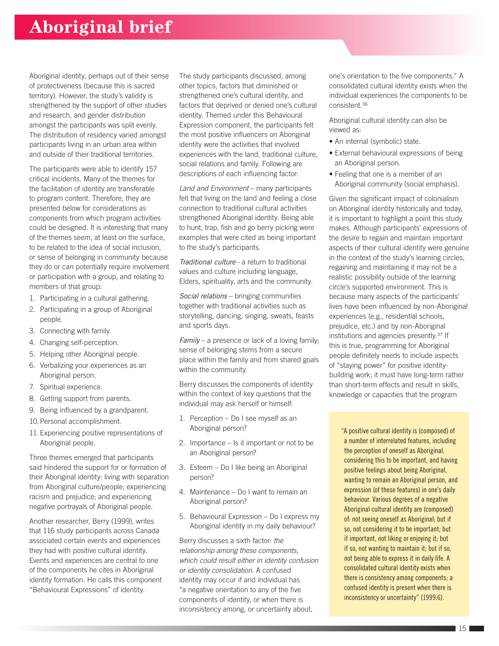Aboriginal identity, perhaps out of their sense of protectiveness (because this is sacred territory). However, the study's validity is strengthened by the support of other studies and research, and gender distribution amongst the participants was split evenly. The distribution of residency varied amongst participants living in an urban area within and outside of their traditional territories.

The participants were able to identify 157 critical incidents. Many of the themes for the facilitation of identity are transferable to program content. Therefore, they are presented below for considerations as components from which program activities could be designed. It is interesting that many of the themes seem, at least on the surface, to be related to the idea of social inclusion, or sense of belonging in community because they do or can potentially require involvement or participation with a group, and relating to members of that group:

- 1. Participating in a cultural gathering.
- 2. Participating in a group of Aboriginal people.
- 3. Connecting with family.
- 4. Changing self-perception.
- 5. Helping other Aboriginal people.
- 6. Verbalizing your experiences as an Aboriginal person.
- 7. Spiritual experience.
- 8. Getting support from parents.
- 9. Being influenced by a grandparent.
- 10.Personal accomplishment.
- 11. Experiencing positive representations of Aboriginal people.

Three themes emerged that participants said hindered the support for or formation of their Aboriginal identity: living with separation from Aboriginal culture/people; experiencing racism and prejudice; and experiencing negative portrayals of Aboriginal people.

Another researcher, Berry (1999), writes that 116 study participants across Canada associated certain events and experiences they had with positive cultural identity. Events and experiences are central to one of the components he cites in Aboriginal identity formation. He calls this component "Behavioural Expressions" of identity.

The study participants discussed, among other topics, factors that diminished or strengthened one's cultural identity, and factors that deprived or denied one's cultural identity. Themed under this Behavioural Expression component, the participants felt the most positive influencers on Aboriginal identity were the activities that involved experiences with the land, traditional culture, social relations and family. Following are descriptions of each influencing factor:

*Land and Environment* – many participants felt that living on the land and feeling a close connection to traditional cultural activities strengthened Aboriginal identity. Being able to hunt, trap, fish and go berry picking were examples that were cited as being important to the study's participants.

*Traditional culture* - a return to traditional values and culture including language, Elders, spirituality, arts and the community.

*Social relations* – bringing communities together with traditional activities such as storytelling, dancing, singing, sweats, feasts and sports days.

*Family* – a presence or lack of a loving family; sense of belonging stems from a secure place within the family and from shared goals within the community.

Berry discusses the components of identity within the context of key questions that the individual may ask herself or himself:

- 1. Perception Do I see myself as an Aboriginal person?
- 2. Importance Is it important or not to be an Aboriginal person?
- 3. Esteem Do I like being an Aboriginal person?
- 4. Maintenance Do I want to remain an Aboriginal person?
- 5. Behavioural Expression Do I express my Aboriginal identity in my daily behaviour?

Berry discusses a sixth factor: *the relationship among these components, which could result either in identity confusion or identity consolidation.* A confused identity may occur if and individual has "a negative orientation to any of the five components of identity, or when there is inconsistency among, or uncertainty about,

one's orientation to the five components." A consolidated cultural identity exists when the individual experiences the components to be consistent.<sup>36</sup>

Aboriginal cultural identity can also be viewed as:

- An internal (symbolic) state.
- External behavioural expressions of being an Aboriginal person.
- Feeling that one is a member of an Aboriginal community (social emphasis).

Given the significant impact of colonialism on Aboriginal identity historically and today, it is important to highlight a point this study makes. Although participants' expressions of the desire to regain and maintain important aspects of their cultural identity were genuine in the context of the study's learning circles, regaining and maintaining it may not be a realistic possibility outside of the learning circle's supported environment. This is because many aspects of the participants' lives have been influenced by non-Aboriginal experiences (e.g., residential schools, prejudice, etc.) and by non-Aboriginal institutions and agencies presently.37 If this is true, programming for Aboriginal people definitely needs to include aspects of "staying power" for positive identitybuilding work; it must have long-term rather than short-term effects and result in skills, knowledge or capacities that the program

"A positive cultural identity is (composed) of a number of interrelated features, including the perception of oneself as Aboriginal, considering this to be important, and having positive feelings about being Aboriginal, wanting to remain an Aboriginal person, and expression (of these features) in one's daily behaviour. Various degrees of a negative Aboriginal cultural identity are (composed) of: not seeing oneself as Aboriginal; but if so, not considering it to be important; but if important, not liking or enjoying it; but if so, not wanting to maintain it; but if so, not being able to express it in daily life. A consolidated cultural identity exists when there is consistency among components; a confused identity is present when there is inconsistency or uncertainty" (1999:6).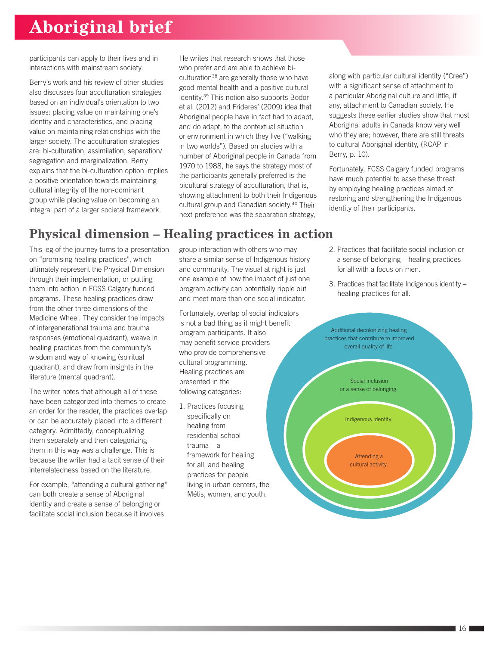participants can apply to their lives and in interactions with mainstream society.

Berry's work and his review of other studies also discusses four acculturation strategies based on an individual's orientation to two issues: placing value on maintaining one's identity and characteristics, and placing value on maintaining relationships with the larger society. The acculturation strategies are: bi-culturation, assimilation, separation/ segregation and marginalization. Berry explains that the bi-culturation option implies a positive orientation towards maintaining cultural integrity of the non-dominant group while placing value on becoming an integral part of a larger societal framework.

He writes that research shows that those who prefer and are able to achieve biculturation<sup>38</sup> are generally those who have good mental health and a positive cultural identity.39 This notion also supports Bodor et al. (2012) and Frideres' (2009) idea that Aboriginal people have in fact had to adapt, and do adapt, to the contextual situation or environment in which they live ("walking in two worlds"). Based on studies with a number of Aboriginal people in Canada from 1970 to 1988, he says the strategy most of the participants generally preferred is the bicultural strategy of acculturation, that is, showing attachment to both their Indigenous cultural group and Canadian society.40 Their next preference was the separation strategy,

along with particular cultural identity ("Cree") with a significant sense of attachment to a particular Aboriginal culture and little, if any, attachment to Canadian society. He suggests these earlier studies show that most Aboriginal adults in Canada know very well who they are; however, there are still threats to cultural Aboriginal identity, (RCAP in Berry, p. 10).

Fortunately, FCSS Calgary funded programs have much potential to ease these threat by employing healing practices aimed at restoring and strengthening the Indigenous identity of their participants.

## **Physical dimension – Healing practices in action**

This leg of the journey turns to a presentation on "promising healing practices", which ultimately represent the Physical Dimension through their implementation, or putting them into action in FCSS Calgary funded programs. These healing practices draw from the other three dimensions of the Medicine Wheel. They consider the impacts of intergenerational trauma and trauma responses (emotional quadrant), weave in healing practices from the community's wisdom and way of knowing (spiritual quadrant), and draw from insights in the literature (mental quadrant).

The writer notes that although all of these have been categorized into themes to create an order for the reader, the practices overlap or can be accurately placed into a different category. Admittedly, conceptualizing them separately and then categorizing them in this way was a challenge. This is because the writer had a tacit sense of their interrelatedness based on the literature.

For example, "attending a cultural gathering" can both create a sense of Aboriginal identity and create a sense of belonging or facilitate social inclusion because it involves

group interaction with others who may share a similar sense of Indigenous history and community. The visual at right is just one example of how the impact of just one program activity can potentially ripple out and meet more than one social indicator.

Fortunately, overlap of social indicators is not a bad thing as it might benefit program participants. It also may benefit service providers who provide comprehensive cultural programming. Healing practices are presented in the following categories:

1. Practices focusing specifically on healing from residential school trauma – a framework for healing for all, and healing practices for people living in urban centers, the Métis, women, and youth.

- 2. Practices that facilitate social inclusion or a sense of belonging – healing practices for all with a focus on men.
- 3. Practices that facilitate Indigenous identity healing practices for all.

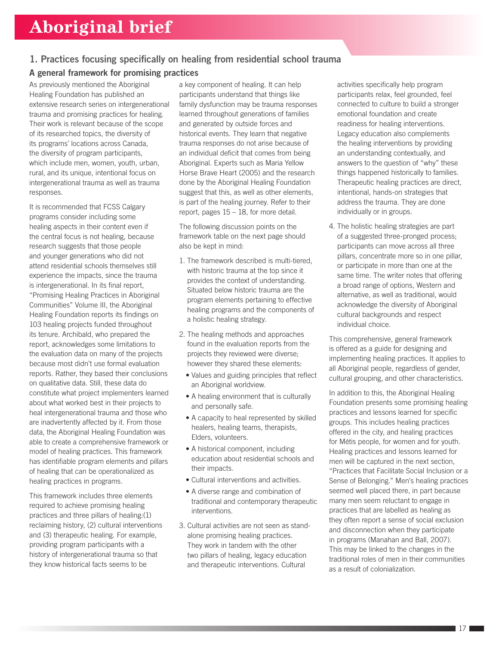### 1. Practices focusing specifically on healing from residential school trauma

### A general framework for promising practices

As previously mentioned the Aboriginal Healing Foundation has published an extensive research series on intergenerational trauma and promising practices for healing. Their work is relevant because of the scope of its researched topics, the diversity of its programs' locations across Canada, the diversity of program participants, which include men, women, youth, urban, rural, and its unique, intentional focus on intergenerational trauma as well as trauma responses.

It is recommended that FCSS Calgary programs consider including some healing aspects in their content even if the central focus is not healing, because research suggests that those people and younger generations who did not attend residential schools themselves still experience the impacts, since the trauma is intergenerational. In its final report, "Promising Healing Practices in Aboriginal Communities" Volume III, the Aboriginal Healing Foundation reports its findings on 103 healing projects funded throughout its tenure. Archibald, who prepared the report, acknowledges some limitations to the evaluation data on many of the projects because most didn't use formal evaluation reports. Rather, they based their conclusions on qualitative data. Still, these data do constitute what project implementers learned about what worked best in their projects to heal intergenerational trauma and those who are inadvertently affected by it. From those data, the Aboriginal Healing Foundation was able to create a comprehensive framework or model of healing practices. This framework has identifiable program elements and pillars of healing that can be operationalized as healing practices in programs.

This framework includes three elements required to achieve promising healing practices and three pillars of healing:(1) reclaiming history, (2) cultural interventions and (3) therapeutic healing. For example, providing program participants with a history of intergenerational trauma so that they know historical facts seems to be

a key component of healing. It can help participants understand that things like family dysfunction may be trauma responses learned throughout generations of families and generated by outside forces and historical events. They learn that negative trauma responses do not arise because of an individual deficit that comes from being Aboriginal. Experts such as Maria Yellow Horse Brave Heart (2005) and the research done by the Aboriginal Healing Foundation suggest that this, as well as other elements, is part of the healing journey. Refer to their report, pages 15 – 18, for more detail.

The following discussion points on the framework table on the next page should also be kept in mind:

- 1. The framework described is multi-tiered, with historic trauma at the top since it provides the context of understanding. Situated below historic trauma are the program elements pertaining to effective healing programs and the components of a holistic healing strategy.
- 2. The healing methods and approaches found in the evaluation reports from the projects they reviewed were diverse; however they shared these elements:
	- Values and guiding principles that reflect an Aboriginal worldview.
	- A healing environment that is culturally and personally safe.
	- A capacity to heal represented by skilled healers, healing teams, therapists, Elders, volunteers.
	- A historical component, including education about residential schools and their impacts.
	- Cultural interventions and activities.
	- A diverse range and combination of traditional and contemporary therapeutic interventions.
- 3. Cultural activities are not seen as standalone promising healing practices. They work in tandem with the other two pillars of healing, legacy education and therapeutic interventions*.* Cultural

activities specifically help program participants relax, feel grounded, feel connected to culture to build a stronger emotional foundation and create readiness for healing interventions. Legacy education also complements the healing interventions by providing an understanding contextually, and answers to the question of "why" these things happened historically to families. Therapeutic healing practices are direct, intentional, hands-on strategies that address the trauma. They are done individually or in groups.

4. The holistic healing strategies are part of a suggested three-pronged process; participants can move across all three pillars, concentrate more so in one pillar, or participate in more than one at the same time. The writer notes that offering a broad range of options, Western and alternative, as well as traditional, would acknowledge the diversity of Aboriginal cultural backgrounds and respect individual choice.

This comprehensive, general framework is offered as a guide for designing and implementing healing practices. It applies to all Aboriginal people, regardless of gender, cultural grouping, and other characteristics.

In addition to this, the Aboriginal Healing Foundation presents some promising healing practices and lessons learned for specific groups. This includes healing practices offered in the city, and healing practices for Métis people, for women and for youth. Healing practices and lessons learned for men will be captured in the next section, "Practices that Facilitate Social Inclusion or a Sense of Belonging." Men's healing practices seemed well placed there, in part because many men seem reluctant to engage in practices that are labelled as healing as they often report a sense of social exclusion and disconnection when they participate in programs (Manahan and Ball, 2007). This may be linked to the changes in the traditional roles of men in their communities as a result of colonialization.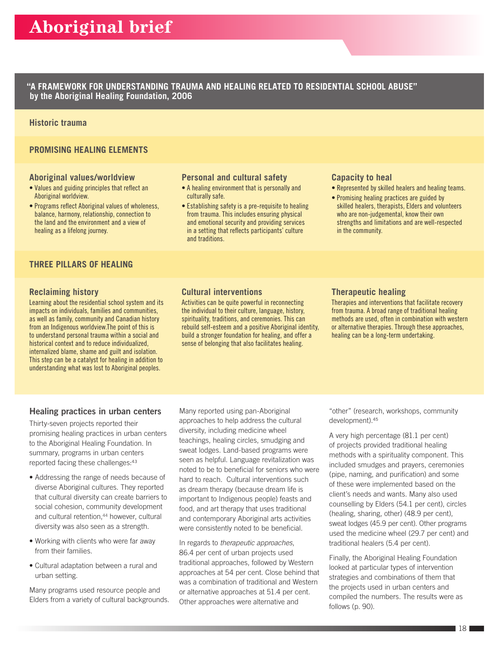**"A FRAMEWORK FOR UNDERSTANDING TRAUMA AND HEALING RELATED TO RESIDENTIAL SCHOOL ABUSE" by the Aboriginal Healing Foundation, 2006**

#### **Historic trauma**

#### **PROMISING HEALING ELEMENTS**

#### **Aboriginal values/worldview**

- Values and guiding principles that reflect an Aboriginal worldview.
- Programs reflect Aboriginal values of wholeness, balance, harmony, relationship, connection to the land and the environment and a view of healing as a lifelong journey.

# **THREE PILLARS OF HEALING**

#### **Reclaiming history**

Learning about the residential school system and its impacts on individuals, families and communities, as well as family, community and Canadian history from an Indigenous worldview.The point of this is to understand personal trauma within a social and historical context and to reduce individualized, internalized blame, shame and guilt and isolation. This step can be a catalyst for healing in addition to understanding what was lost to Aboriginal peoples.

#### **Personal and cultural safety**

- A healing environment that is personally and culturally safe.
- Establishing safety is a pre-requisite to healing from trauma. This includes ensuring physical and emotional security and providing services in a setting that reflects participants' culture and traditions.

#### **Capacity to heal**

- Represented by skilled healers and healing teams.
- Promising healing practices are guided by skilled healers, therapists, Elders and volunteers who are non-judgemental, know their own strengths and limitations and are well-respected in the community.

#### **Cultural interventions**

Activities can be quite powerful in reconnecting the individual to their culture, language, history, spirituality, traditions, and ceremonies. This can rebuild self-esteem and a positive Aboriginal identity, build a stronger foundation for healing, and offer a sense of belonging that also facilitates healing.

#### **Therapeutic healing**

Therapies and interventions that facilitate recovery from trauma. A broad range of traditional healing methods are used, often in combination with western or alternative therapies. Through these approaches, healing can be a long-term undertaking.

#### Healing practices in urban centers

Thirty-seven projects reported their promising healing practices in urban centers to the Aboriginal Healing Foundation. In summary, programs in urban centers reported facing these challenges: 43

- Addressing the range of needs because of diverse Aboriginal cultures. They reported that cultural diversity can create barriers to social cohesion, community development and cultural retention,<sup>44</sup> however, cultural diversity was also seen as a strength.
- Working with clients who were far away from their families.
- Cultural adaptation between a rural and urban setting.

Many programs used resource people and Elders from a variety of cultural backgrounds.

Many reported using pan-Aboriginal approaches to help address the cultural diversity, including medicine wheel teachings, healing circles, smudging and sweat lodges. Land-based programs were seen as helpful. Language revitalization was noted to be to beneficial for seniors who were hard to reach. Cultural interventions such as dream therapy (because dream life is important to Indigenous people) feasts and food, and art therapy that uses traditional and contemporary Aboriginal arts activities were consistently noted to be beneficial.

In regards to *therapeutic approaches*, 86.4 per cent of urban projects used traditional approaches, followed by Western approaches at 54 per cent. Close behind that was a combination of traditional and Western or alternative approaches at 51.4 per cent. Other approaches were alternative and

"other" (research, workshops, community development).<sup>45</sup>

A very high percentage (81.1 per cent) of projects provided traditional healing methods with a spirituality component. This included smudges and prayers, ceremonies (pipe, naming, and purification) and some of these were implemented based on the client's needs and wants. Many also used counselling by Elders (54.1 per cent), circles (healing, sharing, other) (48.9 per cent), sweat lodges (45.9 per cent). Other programs used the medicine wheel (29.7 per cent) and traditional healers (5.4 per cent).

Finally, the Aboriginal Healing Foundation looked at particular types of intervention strategies and combinations of them that the projects used in urban centers and compiled the numbers. The results were as follows (p. 90).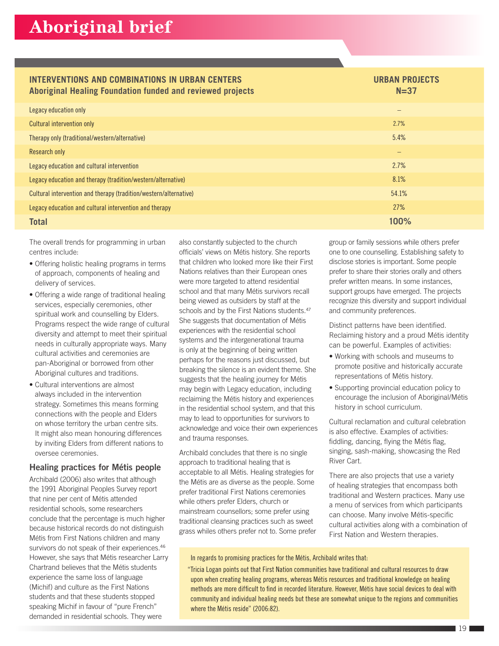# **INTERVENTIONS AND COMBINATIONS IN URBAN CENTERS**

#### **URBAN PROJECTS**

| Aboriginal Healing Foundation funded and reviewed projects        | $N=37$                   |  |
|-------------------------------------------------------------------|--------------------------|--|
| Legacy education only                                             | -                        |  |
| Cultural intervention only                                        | 2.7%                     |  |
| Therapy only (traditional/western/alternative)                    | 5.4%                     |  |
| Research only                                                     | $\overline{\phantom{0}}$ |  |
| Legacy education and cultural intervention                        | 2.7%                     |  |
| Legacy education and therapy (tradition/western/alternative)      | 8.1%                     |  |
| Cultural intervention and therapy (tradition/western/alternative) | 54.1%                    |  |
| Legacy education and cultural intervention and therapy            | 27%                      |  |
| <b>Total</b>                                                      | 100%                     |  |

The overall trends for programming in urban centres include:

- Offering holistic healing programs in terms of approach, components of healing and delivery of services.
- Offering a wide range of traditional healing services, especially ceremonies, other spiritual work and counselling by Elders. Programs respect the wide range of cultural diversity and attempt to meet their spiritual needs in culturally appropriate ways. Many cultural activities and ceremonies are pan-Aboriginal or borrowed from other Aboriginal cultures and traditions.
- Cultural interventions are almost always included in the intervention strategy. Sometimes this means forming connections with the people and Elders on whose territory the urban centre sits. It might also mean honouring differences by inviting Elders from different nations to oversee ceremonies.

#### Healing practices for Métis people

Archibald (2006) also writes that although the 1991 Aboriginal Peoples Survey report that nine per cent of Métis attended residential schools, some researchers conclude that the percentage is much higher because historical records do not distinguish Métis from First Nations children and many survivors do not speak of their experiences.<sup>46</sup> However, she says that Métis researcher Larry Chartrand believes that the Métis students experience the same loss of language (Michif) and culture as the First Nations students and that these students stopped speaking Michif in favour of "pure French" demanded in residential schools. They were

also constantly subjected to the church officials' views on Métis history. She reports that children who looked more like their First Nations relatives than their European ones were more targeted to attend residential school and that many Métis survivors recall being viewed as outsiders by staff at the schools and by the First Nations students.<sup>47</sup> She suggests that documentation of Métis experiences with the residential school systems and the intergenerational trauma is only at the beginning of being written perhaps for the reasons just discussed, but breaking the silence is an evident theme. She suggests that the healing journey for Métis may begin with Legacy education, including reclaiming the Métis history and experiences in the residential school system, and that this may to lead to opportunities for survivors to acknowledge and voice their own experiences and trauma responses.

Archibald concludes that there is no single approach to traditional healing that is acceptable to all Métis. Healing strategies for the Métis are as diverse as the people. Some prefer traditional First Nations ceremonies while others prefer Elders, church or mainstream counsellors; some prefer using traditional cleansing practices such as sweet grass whiles others prefer not to. Some prefer group or family sessions while others prefer one to one counselling. Establishing safety to disclose stories is important. Some people prefer to share their stories orally and others prefer written means. In some instances, support groups have emerged. The projects recognize this diversity and support individual and community preferences.

Distinct patterns have been identified. Reclaiming history and a proud Métis identity can be powerful. Examples of activities:

- Working with schools and museums to promote positive and historically accurate representations of Métis history.
- Supporting provincial education policy to encourage the inclusion of Aboriginal/Métis history in school curriculum.

Cultural reclamation and cultural celebration is also effective. Examples of activities: fiddling, dancing, flying the Métis flag, singing, sash-making, showcasing the Red River Cart.

There are also projects that use a variety of healing strategies that encompass both traditional and Western practices. Many use a menu of services from which participants can choose. Many involve Métis-specific cultural activities along with a combination of First Nation and Western therapies.

#### In regards to promising practices for the Métis, Archibald writes that:

"Tricia Logan points out that First Nation communities have traditional and cultural resources to draw upon when creating healing programs, whereas Métis resources and traditional knowledge on healing methods are more difficult to find in recorded literature. However, Métis have social devices to deal with community and individual healing needs but these are somewhat unique to the regions and communities where the Métis reside" (2006:82).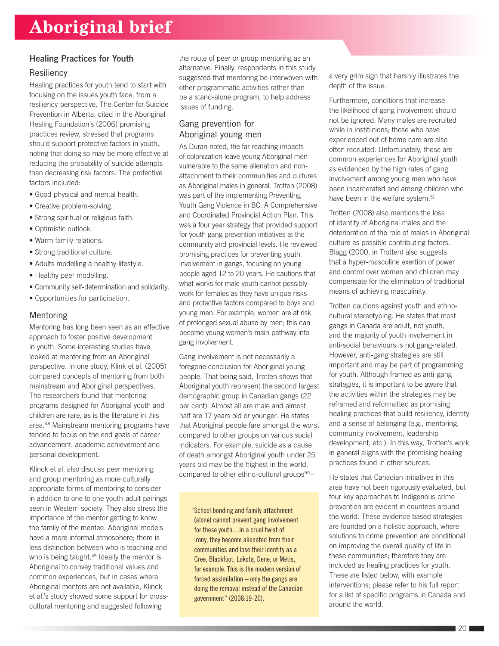#### Healing Practices for Youth

#### **Resiliency**

Healing practices for youth tend to start with focusing on the issues youth face, from a resiliency perspective. The Center for Suicide Prevention in Alberta, cited in the Aboriginal Healing Foundation's (2006) promising practices review, stressed that programs should support protective factors in youth, noting that doing so may be more effective at reducing the probability of suicide attempts than decreasing risk factors. The protective factors included:

- Good physical and mental health.
- Creative problem-solving.
- Strong spiritual or religious faith.
- Optimistic outlook.
- Warm family relations.
- Strong traditional culture.
- Adults modelling a healthy lifestyle.
- Healthy peer modelling.
- Community self-determination and solidarity.
- Opportunities for participation.

#### Mentoring

Mentoring has long been seen as an effective approach to foster positive development in youth. Some interesting studies have looked at mentoring from an Aboriginal perspective. In one study, Klink et al. (2005) compared concepts of mentoring from both mainstream and Aboriginal perspectives. The researchers found that mentoring programs designed for Aboriginal youth and children are rare, as is the literature in this area.48 Mainstream mentoring programs have tended to focus on the end goals of career advancement, academic achievement and personal development.

Klinck et al. also discuss peer mentoring and group mentoring as more culturally appropriate forms of mentoring to consider in addition to one to one youth-adult pairings seen in Western society. They also stress the importance of the mentor getting to know the family of the mentee. Aboriginal models have a more informal atmosphere; there is less distinction between who is teaching and who is being taught.<sup>49</sup> Ideally the mentor is Aboriginal to convey traditional values and common experiences, but in cases where Aboriginal mentors are not available, Klinck et al.'s study showed some support for crosscultural mentoring and suggested following

the route of peer or group mentoring as an alternative. Finally, respondents in this study suggested that mentoring be interwoven with other programmatic activities rather than be a stand-alone program, to help address issues of funding.

### Gang prevention for Aboriginal young men

As Duran noted, the far-reaching impacts of colonization leave young Aboriginal men vulnerable to the same alienation and nonattachment to their communities and cultures as Aboriginal males in general. Trotten (2008) was part of the implementing Preventing Youth Gang Violence in BC: A Comprehensive and Coordinated Provincial Action Plan. This was a four year strategy that provided support for youth gang prevention initiatives at the community and provincial levels. He reviewed promising practices for preventing youth involvement in gangs, focusing on young people aged 12 to 20 years. He cautions that what works for male youth cannot possibly work for females as they have unique risks and protective factors compared to boys and young men. For example, women are at risk of prolonged sexual abuse by men; this can become young women's main pathway into gang involvement.

Gang involvement is not necessarily a foregone conclusion for Aboriginal young people. That being said, Trotten shows that Aboriginal youth represent the second largest demographic group in Canadian gangs (22 per cent). Almost all are male and almost half are 17 years old or younger. He states that Aboriginal people fare amongst the worst compared to other groups on various social indicators. For example, suicide as a cause of death amongst Aboriginal youth under 25 years old may be the highest in the world, compared to other ethno-cultural groups<sup>50</sup>-

"School bonding and family attachment (alone) cannot prevent gang involvement for these youth…in a cruel twist of irony, they become alienated from their communities and lose their identity as a Cree, Blackfoot, Lakota, Dene, or Métis, for example. This is the modern version of forced assimilation – only the gangs are doing the removal instead of the Canadian government" (2008:19-20).

a very grim sign that harshly illustrates the depth of the issue.

Furthermore, conditions that increase the likelihood of gang involvement should not be ignored. Many males are recruited while in institutions; those who have experienced out of home care are also often recruited. Unfortunately, these are common experiences for Aboriginal youth as evidenced by the high rates of gang involvement among young men who have been incarcerated and among children who have been in the welfare system.<sup>51</sup>

Trotten (2008) also mentions the loss of identity of Aboriginal males and the deterioration of the role of males in Aboriginal culture as possible contributing factors. Blagg (2000, in Trotten) also suggests that a hyper-masculine exertion of power and control over women and children may compensate for the elimination of traditional means of achieving masculinity.

Trotten cautions against youth and ethnocultural stereotyping. He states that most gangs in Canada are adult, not youth, and the majority of youth involvement in anti-social behaviours is not gang-related. However, anti-gang strategies are still important and may be part of programming for youth. Although framed as anti-gang strategies, it is important to be aware that the activities within the strategies may be reframed and reformatted as promising healing practices that build resiliency, identity and a sense of belonging (e.g., mentoring, community involvement, leadership development, etc.). In this way, Trotten's work in general aligns with the promising healing practices found in other sources.

He states that Canadian initiatives in this area have not been rigorously evaluated, but four key approaches to Indigenous crime prevention are evident in countries around the world. These evidence based strategies are founded on a holistic approach, where solutions to crime prevention are conditional on improving the overall quality of life in these communities; therefore they are included as healing practices for youth. These are listed below, with example interventions; please refer to his full report for a list of specific programs in Canada and around the world.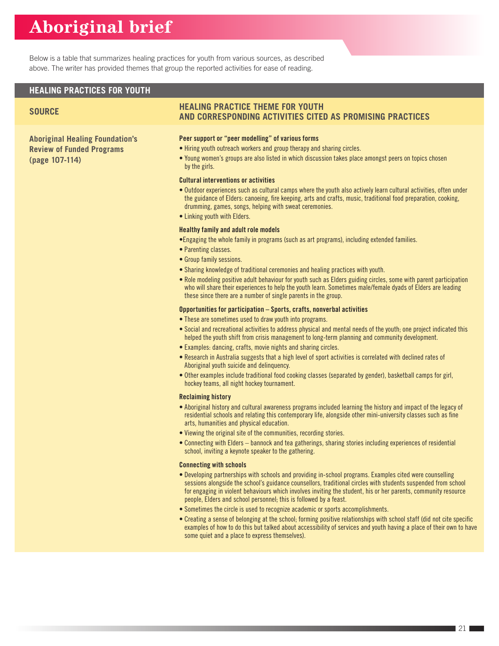Below is a table that summarizes healing practices for youth from various sources, as described above. The writer has provided themes that group the reported activities for ease of reading.

#### **HEALING PRACTICES FOR YOUTH**

**Aboriginal Healing Foundation's Review of Funded Programs (page 107-114)**

#### **SOURCE HEALING PRACTICE THEME FOR YOUTH AND CORRESPONDING ACTIVITIES CITED AS PROMISING PRACTICES**

#### Peer support or "peer modelling" of various forms

- Hiring youth outreach workers and group therapy and sharing circles.
- Young women's groups are also listed in which discussion takes place amongst peers on topics chosen by the girls.

#### Cultural interventions or activities

- Outdoor experiences such as cultural camps where the youth also actively learn cultural activities, often under the guidance of Elders: canoeing, fire keeping, arts and crafts, music, traditional food preparation, cooking, drumming, games, songs, helping with sweat ceremonies.
- Linking youth with Elders.

#### Healthy family and adult role models

- •Engaging the whole family in programs (such as art programs), including extended families.
- Parenting classes.
- Group family sessions.
- Sharing knowledge of traditional ceremonies and healing practices with youth.
- Role modeling positive adult behaviour for youth such as Elders guiding circles, some with parent participation who will share their experiences to help the youth learn. Sometimes male/female dyads of Elders are leading these since there are a number of single parents in the group.

#### Opportunities for participation – Sports, crafts, nonverbal activities

- These are sometimes used to draw youth into programs.
- Social and recreational activities to address physical and mental needs of the youth; one project indicated this helped the youth shift from crisis management to long-term planning and community development.
- Examples: dancing, crafts, movie nights and sharing circles.
- Research in Australia suggests that a high level of sport activities is correlated with declined rates of Aboriginal youth suicide and delinquency.
- Other examples include traditional food cooking classes (separated by gender), basketball camps for girl, hockey teams, all night hockey tournament.

#### Reclaiming history

- Aboriginal history and cultural awareness programs included learning the history and impact of the legacy of residential schools and relating this contemporary life, alongside other mini-university classes such as fine arts, humanities and physical education.
- Viewing the original site of the communities, recording stories.
- Connecting with Elders bannock and tea gatherings, sharing stories including experiences of residential school, inviting a keynote speaker to the gathering.

#### Connecting with schools

- Developing partnerships with schools and providing in-school programs. Examples cited were counselling sessions alongside the school's guidance counsellors, traditional circles with students suspended from school for engaging in violent behaviours which involves inviting the student, his or her parents, community resource people, Elders and school personnel; this is followed by a feast.
- Sometimes the circle is used to recognize academic or sports accomplishments.
- Creating a sense of belonging at the school; forming positive relationships with school staff (did not cite specific examples of how to do this but talked about accessibility of services and youth having a place of their own to have some quiet and a place to express themselves).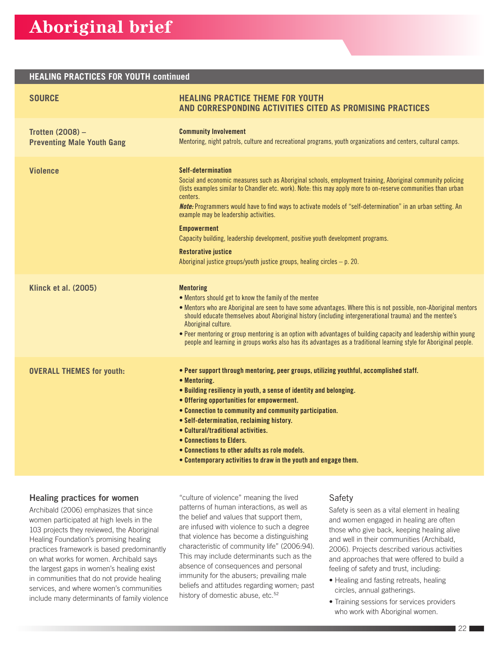#### **HEALING PRACTICES FOR YOUTH continued**

| <b>SOURCE</b>                                                | <b>HEALING PRACTICE THEME FOR YOUTH</b><br>AND CORRESPONDING ACTIVITIES CITED AS PROMISING PRACTICES                                                                                                                                                                                                                                                                                                                                                                                                                                                                                                                                                 |
|--------------------------------------------------------------|------------------------------------------------------------------------------------------------------------------------------------------------------------------------------------------------------------------------------------------------------------------------------------------------------------------------------------------------------------------------------------------------------------------------------------------------------------------------------------------------------------------------------------------------------------------------------------------------------------------------------------------------------|
| <b>Trotten (2008) -</b><br><b>Preventing Male Youth Gang</b> | <b>Community Involvement</b><br>Mentoring, night patrols, culture and recreational programs, youth organizations and centers, cultural camps.                                                                                                                                                                                                                                                                                                                                                                                                                                                                                                        |
| <b>Violence</b>                                              | Self-determination<br>Social and economic measures such as Aboriginal schools, employment training, Aboriginal community policing<br>(lists examples similar to Chandler etc. work). Note: this may apply more to on-reserve communities than urban<br>centers.<br><b>Note:</b> Programmers would have to find ways to activate models of "self-determination" in an urban setting. An<br>example may be leadership activities.<br><b>Empowerment</b><br>Capacity building, leadership development, positive youth development programs.<br><b>Restorative justice</b><br>Aboriginal justice groups/youth justice groups, healing circles $-$ p. 20. |
| <b>Klinck et al. (2005)</b>                                  | <b>Mentoring</b><br>. Mentors should get to know the family of the mentee<br>• Mentors who are Aboriginal are seen to have some advantages. Where this is not possible, non-Aboriginal mentors<br>should educate themselves about Aboriginal history (including intergenerational trauma) and the mentee's<br>Aboriginal culture.<br>• Peer mentoring or group mentoring is an option with advantages of building capacity and leadership within young<br>people and learning in groups works also has its advantages as a traditional learning style for Aboriginal people.                                                                         |
| <b>OVERALL THEMES for youth:</b>                             | . Peer support through mentoring, peer groups, utilizing youthful, accomplished staff.<br>• Mentoring.<br>• Building resiliency in youth, a sense of identity and belonging.<br>• Offering opportunities for empowerment.<br>• Connection to community and community participation.<br>• Self-determination, reclaiming history.<br>• Cultural/traditional activities.<br>• Connections to Elders.<br>• Connections to other adults as role models.<br>• Contemporary activities to draw in the youth and engage them.                                                                                                                               |

#### Healing practices for women

Archibald (2006) emphasizes that since women participated at high levels in the 103 projects they reviewed, the Aboriginal Healing Foundation's promising healing practices framework is based predominantly on what works for women. Archibald says the largest gaps in women's healing exist in communities that do not provide healing services, and where women's communities include many determinants of family violence "culture of violence" meaning the lived patterns of human interactions, as well as the belief and values that support them, are infused with violence to such a degree that violence has become a distinguishing characteristic of community life" (2006:94). This may include determinants such as the absence of consequences and personal immunity for the abusers; prevailing male beliefs and attitudes regarding women; past history of domestic abuse, etc.<sup>52</sup>

#### Safety

Safety is seen as a vital element in healing and women engaged in healing are often those who give back, keeping healing alive and well in their communities (Archibald, 2006). Projects described various activities and approaches that were offered to build a feeling of safety and trust, including:

- Healing and fasting retreats, healing circles, annual gatherings.
- Training sessions for services providers who work with Aboriginal women.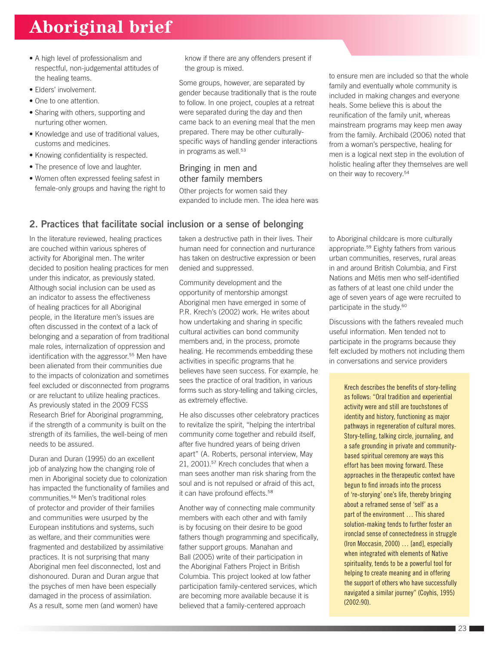- A high level of professionalism and respectful, non-judgemental attitudes of the healing teams.
- Elders' involvement.
- One to one attention.
- Sharing with others, supporting and nurturing other women.
- Knowledge and use of traditional values, customs and medicines.
- Knowing confidentiality is respected.
- The presence of love and laughter.
- Women often expressed feeling safest in female-only groups and having the right to

know if there are any offenders present if the group is mixed.

Some groups, however, are separated by gender because traditionally that is the route to follow. In one project, couples at a retreat were separated during the day and then came back to an evening meal that the men prepared. There may be other culturallyspecific ways of handling gender interactions in programs as well.<sup>53</sup>

#### Bringing in men and other family members

Other projects for women said they expanded to include men. The idea here was

2. Practices that facilitate social inclusion or a sense of belonging

In the literature reviewed, healing practices are couched within various spheres of activity for Aboriginal men. The writer decided to position healing practices for men under this indicator, as previously stated. Although social inclusion can be used as an indicator to assess the effectiveness of healing practices for all Aboriginal people, in the literature men's issues are often discussed in the context of a lack of belonging and a separation of from traditional male roles, internalization of oppression and identification with the aggressor.<sup>55</sup> Men have been alienated from their communities due to the impacts of colonization and sometimes feel excluded or disconnected from programs or are reluctant to utilize healing practices. As previously stated in the 2009 FCSS Research Brief for Aboriginal programming, if the strength of a community is built on the strength of its families, the well-being of men needs to be assured.

Duran and Duran (1995) do an excellent job of analyzing how the changing role of men in Aboriginal society due to colonization has impacted the functionality of families and communities.56 Men's traditional roles of protector and provider of their families and communities were usurped by the European institutions and systems, such as welfare, and their communities were fragmented and destabilized by assimilative practices. It is not surprising that many Aboriginal men feel disconnected, lost and dishonoured. Duran and Duran argue that the psyches of men have been especially damaged in the process of assimilation. As a result, some men (and women) have

taken a destructive path in their lives. Their human need for connection and nurturance has taken on destructive expression or been denied and suppressed.

Community development and the opportunity of mentorship amongst Aboriginal men have emerged in some of P.R. Krech's (2002) work. He writes about how undertaking and sharing in specific cultural activities can bond community members and, in the process, promote healing. He recommends embedding these activities in specific programs that he believes have seen success. For example, he sees the practice of oral tradition, in various forms such as story-telling and talking circles, as extremely effective.

He also discusses other celebratory practices to revitalize the spirit, "helping the intertribal community come together and rebuild itself, after five hundred years of being driven apart" (A. Roberts, personal interview, May 21, 2001).<sup>57</sup> Krech concludes that when a man sees another man risk sharing from the soul and is not repulsed or afraid of this act, it can have profound effects.<sup>58</sup>

Another way of connecting male community members with each other and with family is by focusing on their desire to be good fathers though programming and specifically, father support groups. Manahan and Ball (2005) write of their participation in the Aboriginal Fathers Project in British Columbia. This project looked at low father participation family-centered services, which are becoming more available because it is believed that a family-centered approach

to ensure men are included so that the whole family and eventually whole community is included in making changes and everyone heals. Some believe this is about the reunification of the family unit, whereas mainstream programs may keep men away from the family. Archibald (2006) noted that from a woman's perspective, healing for men is a logical next step in the evolution of holistic healing after they themselves are well on their way to recovery.<sup>54</sup>

to Aboriginal childcare is more culturally appropriate.59 Eighty fathers from various urban communities, reserves, rural areas in and around British Columbia, and First Nations and Métis men who self-identified as fathers of at least one child under the age of seven years of age were recruited to participate in the study.<sup>60</sup>

Discussions with the fathers revealed much useful information. Men tended not to participate in the programs because they felt excluded by mothers not including them in conversations and service providers

> Krech describes the benefits of story-telling as follows: "Oral tradition and experiential activity were and still are touchstones of identity and history, functioning as major pathways in regeneration of cultural mores. Story-telling, talking circle, journaling, and a safe grounding in private and communitybased spiritual ceremony are ways this effort has been moving forward. These approaches in the therapeutic context have begun to find inroads into the process of 're-storying' one's life, thereby bringing about a reframed sense of 'self' as a part of the environment … This shared solution-making tends to further foster an ironclad sense of connectedness in struggle (Iron Moccasin, 2000) … [and], especially when integrated with elements of Native spirituality, tends to be a powerful tool for helping to create meaning and in offering the support of others who have successfully navigated a similar journey" (Coyhis, 1995) (2002:90).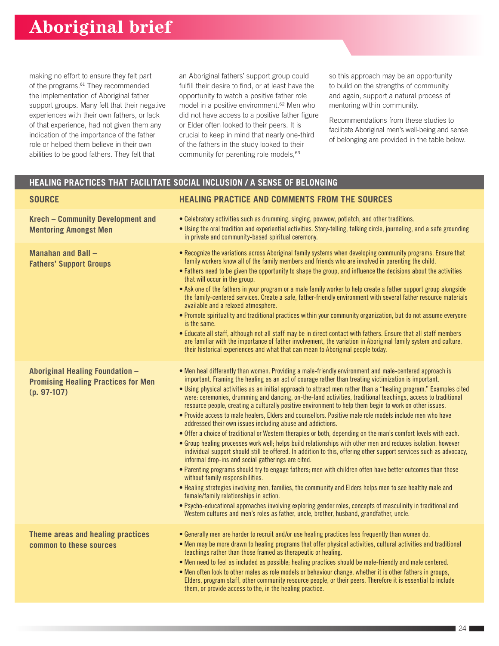making no effort to ensure they felt part of the programs.<sup>61</sup> They recommended the implementation of Aboriginal father support groups. Many felt that their negative experiences with their own fathers, or lack of that experience, had not given them any indication of the importance of the father role or helped them believe in their own abilities to be good fathers. They felt that

an Aboriginal fathers' support group could fulfill their desire to find, or at least have the opportunity to watch a positive father role model in a positive environment.<sup>62</sup> Men who did not have access to a positive father figure or Elder often looked to their peers. It is crucial to keep in mind that nearly one-third of the fathers in the study looked to their community for parenting role models,<sup>63</sup>

so this approach may be an opportunity to build on the strengths of community and again, support a natural process of mentoring within community.

Recommendations from these studies to facilitate Aboriginal men's well-being and sense of belonging are provided in the table below.

### **HEALING PRACTICES THAT FACILITATE SOCIAL INCLUSION / A SENSE OF BELONGING**

| <b>SOURCE</b>                                                                                  | <b>HEALING PRACTICE AND COMMENTS FROM THE SOURCES</b>                                                                                                                                                                                                                                                                                                                                                                                                                                                                                                                                                                                                                                                                                                                                                                                                                                                                                                                                                                                                                                                                                                                                                                                                                                                                                                                                                                                                                                                                                                                                                                                                                      |
|------------------------------------------------------------------------------------------------|----------------------------------------------------------------------------------------------------------------------------------------------------------------------------------------------------------------------------------------------------------------------------------------------------------------------------------------------------------------------------------------------------------------------------------------------------------------------------------------------------------------------------------------------------------------------------------------------------------------------------------------------------------------------------------------------------------------------------------------------------------------------------------------------------------------------------------------------------------------------------------------------------------------------------------------------------------------------------------------------------------------------------------------------------------------------------------------------------------------------------------------------------------------------------------------------------------------------------------------------------------------------------------------------------------------------------------------------------------------------------------------------------------------------------------------------------------------------------------------------------------------------------------------------------------------------------------------------------------------------------------------------------------------------------|
| <b>Krech - Community Development and</b><br><b>Mentoring Amongst Men</b>                       | • Celebratory activities such as drumming, singing, powwow, potlatch, and other traditions.<br>• Using the oral tradition and experiential activities. Story-telling, talking circle, journaling, and a safe grounding<br>in private and community-based spiritual ceremony.                                                                                                                                                                                                                                                                                                                                                                                                                                                                                                                                                                                                                                                                                                                                                                                                                                                                                                                                                                                                                                                                                                                                                                                                                                                                                                                                                                                               |
| Manahan and Ball -<br><b>Fathers' Support Groups</b>                                           | • Recognize the variations across Aboriginal family systems when developing community programs. Ensure that<br>family workers know all of the family members and friends who are involved in parenting the child.<br>• Fathers need to be given the opportunity to shape the group, and influence the decisions about the activities<br>that will occur in the group.<br>• Ask one of the fathers in your program or a male family worker to help create a father support group alongside<br>the family-centered services. Create a safe, father-friendly environment with several father resource materials<br>available and a relaxed atmosphere.<br>. Promote spirituality and traditional practices within your community organization, but do not assume everyone<br>is the same.<br>. Educate all staff, although not all staff may be in direct contact with fathers. Ensure that all staff members<br>are familiar with the importance of father involvement, the variation in Aboriginal family system and culture,<br>their historical experiences and what that can mean to Aboriginal people today.                                                                                                                                                                                                                                                                                                                                                                                                                                                                                                                                                            |
| Aboriginal Healing Foundation -<br><b>Promising Healing Practices for Men</b><br>$(p. 97-107)$ | • Men heal differently than women. Providing a male-friendly environment and male-centered approach is<br>important. Framing the healing as an act of courage rather than treating victimization is important.<br>. Using physical activities as an initial approach to attract men rather than a "healing program." Examples cited<br>were: ceremonies, drumming and dancing, on-the-land activities, traditional teachings, access to traditional<br>resource people, creating a culturally positive environment to help them begin to work on other issues.<br>. Provide access to male healers, Elders and counsellors. Positive male role models include men who have<br>addressed their own issues including abuse and addictions.<br>. Offer a choice of traditional or Western therapies or both, depending on the man's comfort levels with each.<br>. Group healing processes work well; helps build relationships with other men and reduces isolation, however<br>individual support should still be offered. In addition to this, offering other support services such as advocacy,<br>informal drop-ins and social gatherings are cited.<br>• Parenting programs should try to engage fathers; men with children often have better outcomes than those<br>without family responsibilities.<br>. Healing strategies involving men, families, the community and Elders helps men to see healthy male and<br>female/family relationships in action.<br>• Psycho-educational approaches involving exploring gender roles, concepts of masculinity in traditional and<br>Western cultures and men's roles as father, uncle, brother, husband, grandfather, uncle. |
| Theme areas and healing practices<br>common to these sources                                   | • Generally men are harder to recruit and/or use healing practices less frequently than women do.<br>• Men may be more drawn to healing programs that offer physical activities, cultural activities and traditional<br>teachings rather than those framed as therapeutic or healing.<br>. Men need to feel as included as possible; healing practices should be male-friendly and male centered.<br>. Men often look to other males as role models or behaviour change, whether it is other fathers in groups,<br>Elders, program staff, other community resource people, or their peers. Therefore it is essential to include<br>them, or provide access to the, in the healing practice.                                                                                                                                                                                                                                                                                                                                                                                                                                                                                                                                                                                                                                                                                                                                                                                                                                                                                                                                                                                |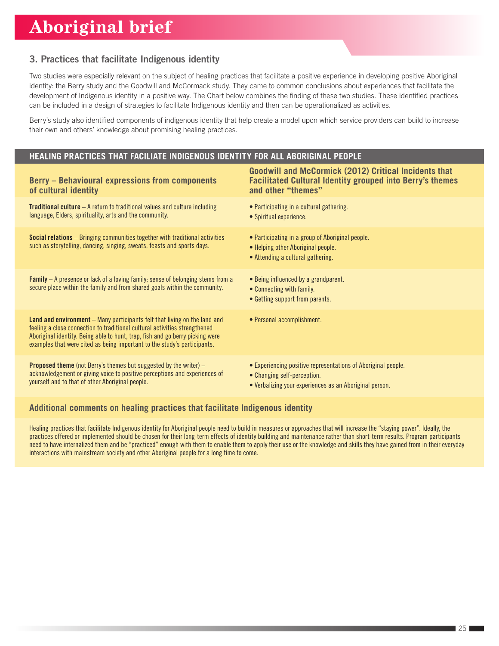### 3. Practices that facilitate Indigenous identity

Two studies were especially relevant on the subject of healing practices that facilitate a positive experience in developing positive Aboriginal identity: the Berry study and the Goodwill and McCormack study. They came to common conclusions about experiences that facilitate the development of Indigenous identity in a positive way. The Chart below combines the finding of these two studies. These identified practices can be included in a design of strategies to facilitate Indigenous identity and then can be operationalized as activities.

Berry's study also identified components of indigenous identity that help create a model upon which service providers can build to increase their own and others' knowledge about promising healing practices.

#### **HEALING PRACTICES THAT FACILIATE INDIGENOUS IDENTITY FOR ALL ABORIGINAL PEOPLE**

| <b>Berry - Behavioural expressions from components</b><br>of cultural identity                                                                                                                                                                                                                                              | <b>Goodwill and McCormick (2012) Critical Incidents that</b><br><b>Facilitated Cultural Identity grouped into Berry's themes</b><br>and other "themes"  |
|-----------------------------------------------------------------------------------------------------------------------------------------------------------------------------------------------------------------------------------------------------------------------------------------------------------------------------|---------------------------------------------------------------------------------------------------------------------------------------------------------|
| <b>Traditional culture</b> $-$ A return to traditional values and culture including<br>language, Elders, spirituality, arts and the community.                                                                                                                                                                              | • Participating in a cultural gathering.<br>• Spiritual experience.                                                                                     |
| <b>Social relations</b> – Bringing communities together with traditional activities<br>such as storytelling, dancing, singing, sweats, feasts and sports days.                                                                                                                                                              | • Participating in a group of Aboriginal people.<br>• Helping other Aboriginal people.<br>• Attending a cultural gathering.                             |
| <b>Family</b> – A presence or lack of a loving family; sense of belonging stems from a<br>secure place within the family and from shared goals within the community.                                                                                                                                                        | • Being influenced by a grandparent.<br>• Connecting with family.<br>• Getting support from parents.                                                    |
| <b>Land and environment</b> – Many participants felt that living on the land and<br>feeling a close connection to traditional cultural activities strengthened<br>Aboriginal identity. Being able to hunt, trap, fish and go berry picking were<br>examples that were cited as being important to the study's participants. | • Personal accomplishment.                                                                                                                              |
| <b>Proposed theme</b> (not Berry's themes but suggested by the writer) $-$<br>acknowledgement or giving voice to positive perceptions and experiences of<br>yourself and to that of other Aboriginal people.                                                                                                                | • Experiencing positive representations of Aboriginal people.<br>• Changing self-perception.<br>• Verbalizing your experiences as an Aboriginal person. |

#### **Additional comments on healing practices that facilitate Indigenous identity**

Healing practices that facilitate Indigenous identity for Aboriginal people need to build in measures or approaches that will increase the "staying power". Ideally, the practices offered or implemented should be chosen for their long-term effects of identity building and maintenance rather than short-term results. Program participants need to have internalized them and be "practiced" enough with them to enable them to apply their use or the knowledge and skills they have gained from in their everyday interactions with mainstream society and other Aboriginal people for a long time to come.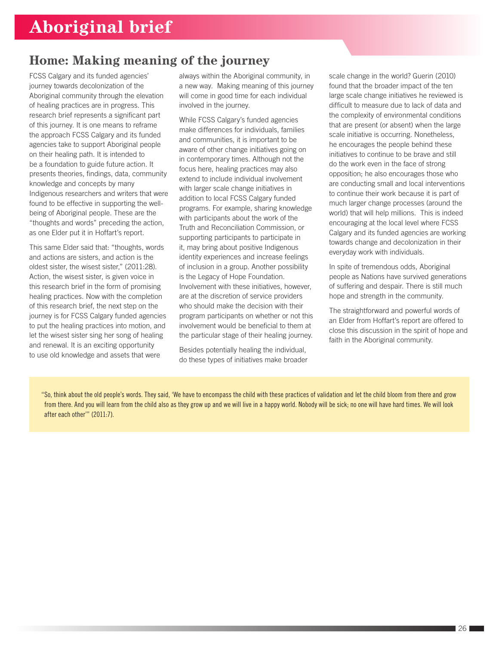## **Home: Making meaning of the journey**

FCSS Calgary and its funded agencies' journey towards decolonization of the Aboriginal community through the elevation of healing practices are in progress. This research brief represents a significant part of this journey. It is one means to reframe the approach FCSS Calgary and its funded agencies take to support Aboriginal people on their healing path. It is intended to be a foundation to guide future action. It presents theories, findings, data, community knowledge and concepts by many Indigenous researchers and writers that were found to be effective in supporting the wellbeing of Aboriginal people. These are the "thoughts and words" preceding the action, as one Elder put it in Hoffart's report.

This same Elder said that: "thoughts, words and actions are sisters, and action is the oldest sister, the wisest sister," (2011:28). Action, the wisest sister, is given voice in this research brief in the form of promising healing practices. Now with the completion of this research brief, the next step on the journey is for FCSS Calgary funded agencies to put the healing practices into motion, and let the wisest sister sing her song of healing and renewal. It is an exciting opportunity to use old knowledge and assets that were

always within the Aboriginal community, in a new way. Making meaning of this journey will come in good time for each individual involved in the journey.

While FCSS Calgary's funded agencies make differences for individuals, families and communities, it is important to be aware of other change initiatives going on in contemporary times. Although not the focus here, healing practices may also extend to include individual involvement with larger scale change initiatives in addition to local FCSS Calgary funded programs. For example, sharing knowledge with participants about the work of the Truth and Reconciliation Commission, or supporting participants to participate in it, may bring about positive Indigenous identity experiences and increase feelings of inclusion in a group. Another possibility is the Legacy of Hope Foundation. Involvement with these initiatives, however, are at the discretion of service providers who should make the decision with their program participants on whether or not this involvement would be beneficial to them at the particular stage of their healing journey.

Besides potentially healing the individual, do these types of initiatives make broader scale change in the world? Guerin (2010) found that the broader impact of the ten large scale change initiatives he reviewed is difficult to measure due to lack of data and the complexity of environmental conditions that are present (or absent) when the large scale initiative is occurring. Nonetheless, he encourages the people behind these initiatives to continue to be brave and still do the work even in the face of strong opposition; he also encourages those who are conducting small and local interventions to continue their work because it is part of much larger change processes (around the world) that will help millions. This is indeed encouraging at the local level where FCSS Calgary and its funded agencies are working towards change and decolonization in their everyday work with individuals.

In spite of tremendous odds, Aboriginal people as Nations have survived generations of suffering and despair. There is still much hope and strength in the community.

The straightforward and powerful words of an Elder from Hoffart's report are offered to close this discussion in the spirit of hope and faith in the Aboriginal community.

"So, think about the old people's words. They said, 'We have to encompass the child with these practices of validation and let the child bloom from there and grow from there. And you will learn from the child also as they grow up and we will live in a happy world. Nobody will be sick; no one will have hard times. We will look after each other'" (2011:7).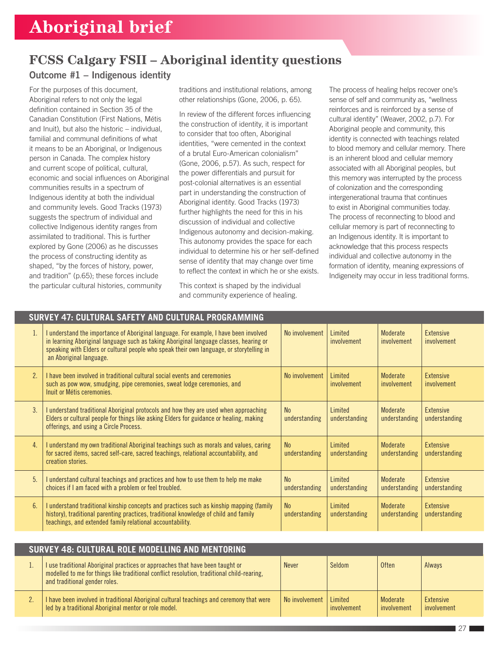## **FCSS Calgary FSII – Aboriginal identity questions**

### Outcome #1 – Indigenous identity

For the purposes of this document, Aboriginal refers to not only the legal definition contained in Section 35 of the Canadian Constitution (First Nations, Métis and Inuit), but also the historic – individual, familial and communal definitions of what it means to be an Aboriginal, or Indigenous person in Canada. The complex history and current scope of political, cultural, economic and social influences on Aboriginal communities results in a spectrum of Indigenous identity at both the individual and community levels. Good Tracks (1973) suggests the spectrum of individual and collective Indigenous identity ranges from assimilated to traditional. This is further explored by Gone (2006) as he discusses the process of constructing identity as shaped, "by the forces of history, power, and tradition" (p.65); these forces include the particular cultural histories, community

traditions and institutional relations, among other relationships (Gone, 2006, p. 65).

In review of the different forces influencing the construction of identity, it is important to consider that too often, Aboriginal identities, "were cemented in the context of a brutal Euro-American colonialism" (Gone, 2006, p.57). As such, respect for the power differentials and pursuit for post-colonial alternatives is an essential part in understanding the construction of Aboriginal identity. Good Tracks (1973) further highlights the need for this in his discussion of individual and collective Indigenous autonomy and decision-making. This autonomy provides the space for each individual to determine his or her self-defined sense of identity that may change over time to reflect the context in which he or she exists.

This context is shaped by the individual and community experience of healing.

The process of healing helps recover one's sense of self and community as, "wellness reinforces and is reinforced by a sense of cultural identity" (Weaver, 2002, p.7). For Aboriginal people and community, this identity is connected with teachings related to blood memory and cellular memory. There is an inherent blood and cellular memory associated with all Aboriginal peoples, but this memory was interrupted by the process of colonization and the corresponding intergenerational trauma that continues to exist in Aboriginal communities today. The process of reconnecting to blood and cellular memory is part of reconnecting to an Indigenous identity. It is important to acknowledge that this process respects individual and collective autonomy in the formation of identity, meaning expressions of Indigeneity may occur in less traditional forms.

| SURVEY 47: CULTURAL SAFETY AND CULTURAL PROGRAMMING |                                                                                                                                                                                                                                                                                                        |                                 |                                 |                           |                                   |  |
|-----------------------------------------------------|--------------------------------------------------------------------------------------------------------------------------------------------------------------------------------------------------------------------------------------------------------------------------------------------------------|---------------------------------|---------------------------------|---------------------------|-----------------------------------|--|
| 1.                                                  | I understand the importance of Aboriginal language. For example, I have been involved<br>in learning Aboriginal language such as taking Aboriginal language classes, hearing or<br>speaking with Elders or cultural people who speak their own language, or storytelling in<br>an Aboriginal language. | No involvement                  | Limited<br>involvement          | Moderate<br>involvement   | <b>Extensive</b><br>involvement   |  |
| 2 <sup>2</sup>                                      | I have been involved in traditional cultural social events and ceremonies<br>such as pow wow, smudging, pipe ceremonies, sweat lodge ceremonies, and<br>Inuit or Métis ceremonies.                                                                                                                     | No involvement                  | Limited<br>involvement          | Moderate<br>involvement   | Extensive<br>involvement          |  |
| 3.                                                  | I understand traditional Aboriginal protocols and how they are used when approaching<br>Elders or cultural people for things like asking Elders for guidance or healing, making<br>offerings, and using a Circle Process.                                                                              | N <sub>0</sub><br>understanding | Limited<br>understanding        | Moderate<br>understanding | Extensive<br>understanding        |  |
| 4.                                                  | I understand my own traditional Aboriginal teachings such as morals and values, caring<br>for sacred items, sacred self-care, sacred teachings, relational accountability, and<br>creation stories.                                                                                                    | N <sub>0</sub><br>understanding | <b>Limited</b><br>understanding | Moderate<br>understanding | <b>Extensive</b><br>understanding |  |
| 5.                                                  | I understand cultural teachings and practices and how to use them to help me make<br>choices if I am faced with a problem or feel troubled.                                                                                                                                                            | N <sub>0</sub><br>understanding | <b>Limited</b><br>understanding | Moderate<br>understanding | <b>Extensive</b><br>understanding |  |
| 6.                                                  | I understand traditional kinship concepts and practices such as kinship mapping (family<br>history), traditional parenting practices, traditional knowledge of child and family<br>teachings, and extended family relational accountability.                                                           | N <sub>0</sub><br>understanding | Limited<br>understanding        | Moderate<br>understanding | Extensive<br>understanding        |  |

| SURVEY 48: CULTURAL ROLE MODELLING AND MENTORING |                                                                                                                                                                                                              |                |                        |                         |                          |  |
|--------------------------------------------------|--------------------------------------------------------------------------------------------------------------------------------------------------------------------------------------------------------------|----------------|------------------------|-------------------------|--------------------------|--|
|                                                  | I use traditional Aboriginal practices or approaches that have been taught or<br>modelled to me for things like traditional conflict resolution, traditional child-rearing,<br>and traditional gender roles. | <b>Never</b>   | Seldom                 | <b>Often</b>            | Always                   |  |
|                                                  | I have been involved in traditional Aboriginal cultural teachings and ceremony that were<br>led by a traditional Aboriginal mentor or role model.                                                            | No involvement | Limited<br>involvement | Moderate<br>involvement | Extensive<br>involvement |  |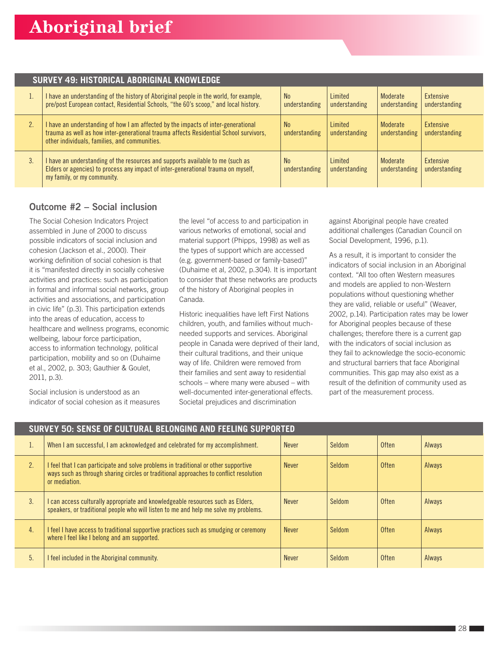|    | <b>SURVEY 49: HISTORICAL ABORIGINAL KNOWLEDGE</b>                                                                                                                                                                           |                                 |                          |                           |                                   |  |  |
|----|-----------------------------------------------------------------------------------------------------------------------------------------------------------------------------------------------------------------------------|---------------------------------|--------------------------|---------------------------|-----------------------------------|--|--|
|    | I have an understanding of the history of Aboriginal people in the world, for example,<br>pre/post European contact, Residential Schools, "the 60's scoop," and local history.                                              | <b>No</b><br>understanding      | Limited<br>understanding | Moderate<br>understanding | Extensive<br>understanding        |  |  |
| 2. | I have an understanding of how I am affected by the impacts of inter-generational<br>trauma as well as how inter-generational trauma affects Residential School survivors,<br>other individuals, families, and communities. | N <sub>0</sub><br>understanding | Limited<br>understanding | Moderate<br>understanding | <b>Extensive</b><br>understanding |  |  |
| 3. | I have an understanding of the resources and supports available to me (such as<br>Elders or agencies) to process any impact of inter-generational trauma on myself,<br>my family, or my community.                          | <b>No</b><br>understanding      | Limited<br>understanding | Moderate<br>understanding | <b>Extensive</b><br>understanding |  |  |

### Outcome #2 – Social inclusion

The Social Cohesion Indicators Project assembled in June of 2000 to discuss possible indicators of social inclusion and cohesion (Jackson et al., 2000). Their working definition of social cohesion is that it is "manifested directly in socially cohesive activities and practices: such as participation in formal and informal social networks, group activities and associations, and participation in civic life" (p.3). This participation extends into the areas of education, access to healthcare and wellness programs, economic wellbeing, labour force participation, access to information technology, political participation, mobility and so on (Duhaime et al., 2002, p. 303; Gauthier & Goulet, 2011, p.3).

Social inclusion is understood as an indicator of social cohesion as it measures the level "of access to and participation in various networks of emotional, social and material support (Phipps, 1998) as well as the types of support which are accessed (e.g. government-based or family-based)" (Duhaime et al, 2002, p.304). It is important to consider that these networks are products of the history of Aboriginal peoples in Canada.

Historic inequalities have left First Nations children, youth, and families without muchneeded supports and services. Aboriginal people in Canada were deprived of their land, their cultural traditions, and their unique way of life. Children were removed from their families and sent away to residential schools – where many were abused – with well-documented inter-generational effects. Societal prejudices and discrimination

against Aboriginal people have created additional challenges (Canadian Council on Social Development, 1996, p.1).

As a result, it is important to consider the indicators of social inclusion in an Aboriginal context. "All too often Western measures and models are applied to non-Western populations without questioning whether they are valid, reliable or useful" (Weaver, 2002, p.14). Participation rates may be lower for Aboriginal peoples because of these challenges; therefore there is a current gap with the indicators of social inclusion as they fail to acknowledge the socio-economic and structural barriers that face Aboriginal communities. This gap may also exist as a result of the definition of community used as part of the measurement process.

| SURVEY 50: SENSE OF CULTURAL BELONGING AND FEELING SUPPORTED |                                                                                                                                                                                               |              |        |              |        |  |
|--------------------------------------------------------------|-----------------------------------------------------------------------------------------------------------------------------------------------------------------------------------------------|--------------|--------|--------------|--------|--|
| 1.                                                           | When I am successful, I am acknowledged and celebrated for my accomplishment.                                                                                                                 | <b>Never</b> | Seldom | Often        | Always |  |
| 2.                                                           | I feel that I can participate and solve problems in traditional or other supportive<br>ways such as through sharing circles or traditional approaches to conflict resolution<br>or mediation. | <b>Never</b> | Seldom | Often        | Always |  |
| 3.                                                           | I can access culturally appropriate and knowledgeable resources such as Elders,<br>speakers, or traditional people who will listen to me and help me solve my problems.                       | <b>Never</b> | Seldom | Often        | Always |  |
| 4.                                                           | I feel I have access to traditional supportive practices such as smudging or ceremony<br>where I feel like I belong and am supported.                                                         | <b>Never</b> | Seldom | Often        | Always |  |
| 5.                                                           | I feel included in the Aboriginal community.                                                                                                                                                  | <b>Never</b> | Seldom | <b>Often</b> | Always |  |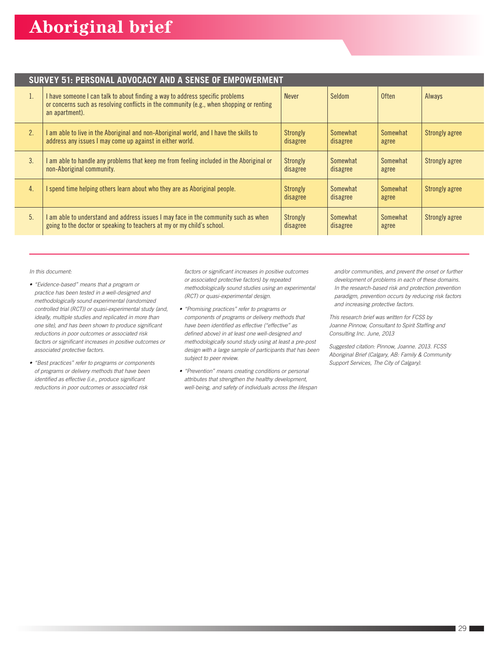#### **SURVEY 51: PERSONAL ADVOCACY AND A SENSE OF EMPOWERMENT**

| I. | I have someone I can talk to about finding a way to address specific problems<br>or concerns such as resolving conflicts in the community (e.g., when shopping or renting<br>an apartment). | <b>Never</b>         | Seldom               | Often             | Always                |
|----|---------------------------------------------------------------------------------------------------------------------------------------------------------------------------------------------|----------------------|----------------------|-------------------|-----------------------|
| 2. | I am able to live in the Aboriginal and non-Aboriginal world, and I have the skills to<br>address any issues I may come up against in either world.                                         | Strongly<br>disagree | Somewhat<br>disagree | Somewhat<br>agree | Strongly agree        |
| 3. | I am able to handle any problems that keep me from feeling included in the Aboriginal or<br>non-Aboriginal community.                                                                       | Strongly<br>disagree | Somewhat<br>disagree | Somewhat<br>agree | Strongly agree        |
| 4. | I spend time helping others learn about who they are as Aboriginal people.                                                                                                                  | Strongly<br>disagree | Somewhat<br>disagree | Somewhat<br>agree | <b>Strongly agree</b> |
| 5. | I am able to understand and address issues I may face in the community such as when<br>going to the doctor or speaking to teachers at my or my child's school.                              | Strongly<br>disagree | Somewhat<br>disagree | Somewhat<br>agree | <b>Strongly agree</b> |

*In this document:*

- *"Evidence-based" means that a program or practice has been tested in a well-designed and methodologically sound experimental (randomized controlled trial (RCT)) or quasi-experimental study (and, ideally, multiple studies and replicated in more than one site), and has been shown to produce significant reductions in poor outcomes or associated risk factors or significant increases in positive outcomes or associated protective factors.*
- *"Best practices" refer to programs or components of programs or delivery methods that have been identified as effective (i.e., produce significant reductions in poor outcomes or associated risk*

*factors or significant increases in positive outcomes or associated protective factors) by repeated methodologically sound studies using an experimental (RCT) or quasi-experimental design.*

- *"Promising practices" refer to programs or components of programs or delivery methods that have been identified as effective ("effective" as defined above) in at least one well-designed and methodologically sound study using at least a pre-post design with a large sample of participants that has been subject to peer review.*
- *"Prevention" means creating conditions or personal attributes that strengthen the healthy development, well-being, and safety of individuals across the lifespan*

*and/or communities, and prevent the onset or further development of problems in each of these domains. In the research-based risk and protection prevention paradigm, prevention occurs by reducing risk factors and increasing protective factors.*

*This research brief was written for FCSS by Joanne Pinnow, Consultant to Spirit Staffing and Consulting Inc. June, 2013*

*Suggested citation: Pinnow, Joanne. 2013. FCSS Aboriginal Brief (Calgary, AB: Family & Community Support Services, The City of Calgary).*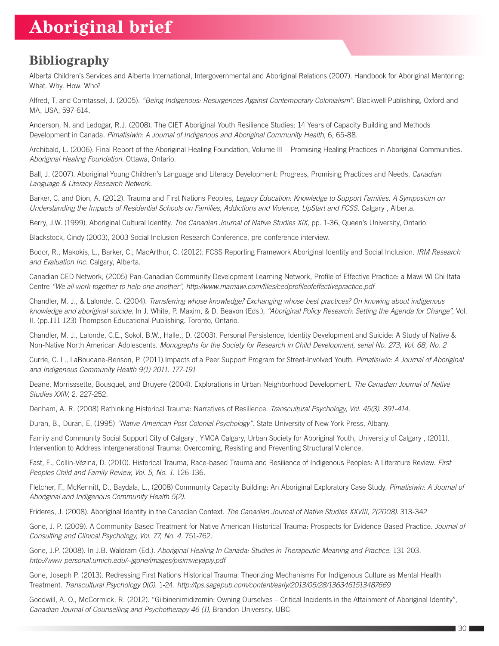### **Bibliography**

Alberta Children's Services and Alberta International, Intergovernmental and Aboriginal Relations (2007). Handbook for Aboriginal Mentoring: What. Why. How. Who?

Alfred, T. and Corntassel, J. (2005). *"Being Indigenous: Resurgences Against Contemporary Colonialism".* Blackwell Publishing, Oxford and MA, USA, 597-614.

Anderson, N. and Ledogar, R.J. (2008). The CIET Aboriginal Youth Resilience Studies: 14 Years of Capacity Building and Methods Development in Canada. *Pimatisiwin: A Journal of Indigenous and Aboriginal Community Health,* 6, 65-88.

Archibald, L. (2006). Final Report of the Aboriginal Healing Foundation, Volume III – Promising Healing Practices in Aboriginal Communities. *Aboriginal Healing Foundation.* Ottawa, Ontario.

Ball, J. (2007). Aboriginal Young Children's Language and Literacy Development: Progress, Promising Practices and Needs. *Canadian Language & Literacy Research Network.*

Barker, C. and Dion, A. (2012). Trauma and First Nations Peoples, *Legacy Education: Knowledge to Support Families, A Symposium on Understanding the Impacts of Residential Schools on Families, Addictions and Violence, UpStart and FCSS.* Calgary , Alberta.

Berry, J.W. (1999). Aboriginal Cultural Identity. *The Canadian Journal of Native Studies XIX,* pp. 1-36, Queen's University, Ontario

Blackstock, Cindy (2003), 2003 Social Inclusion Research Conference, pre-conference interview.

Bodor, R., Makokis, L., Barker, C., MacArthur, C. (2012). FCSS Reporting Framework Aboriginal Identity and Social Inclusion. *IRM Research and Evaluation Inc.* Calgary, Alberta.

Canadian CED Network, (2005) Pan-Canadian Community Development Learning Network, Profile of Effective Practice: a Mawi Wi Chi Itata Centre *"We all work together to help one another", http://www.mamawi.com/files/cedprofileofeffectivepractice.pdf*

Chandler, M. J., & Lalonde, C. (2004). *Transferring whose knowledge? Exchanging whose best practices? On knowing about indigenous knowledge and aboriginal suicide.* In J. White, P. Maxim, & D. Beavon (Eds.), *"Aboriginal Policy Research: Setting the Agenda for Change",* Vol. II. (pp.111-123) Thompson Educational Publishing. Toronto, Ontario.

Chandler, M. J., Lalonde, C.E., Sokol, B.W., Hallet, D. (2003). Personal Persistence, Identity Development and Suicide: A Study of Native & Non-Native North American Adolescents. *Monographs for the Society for Research in Child Development, serial No. 273, Vol. 68, No. 2*

Currie, C. L., LaBoucane-Benson, P. (2011).Impacts of a Peer Support Program for Street-Involved Youth. *Pimatisiwin: A Journal of Aboriginal and Indigenous Community Health 9(1) 2011. 177-191*

Deane, Morrisssette, Bousquet, and Bruyere (2004). Explorations in Urban Neighborhood Development. *The Canadian Journal of Native Studies XXIV,* 2. 227-252.

Denham, A. R. (2008) Rethinking Historical Trauma: Narratives of Resilience. *Transcultural Psychology, Vol. 45(3). 391-414.*

Duran, B., Duran, E. (1995) *"Native American Post-Colonial Psychology"*. State University of New York Press, Albany.

Family and Community Social Support City of Calgary , YMCA Calgary, Urban Society for Aboriginal Youth, University of Calgary , (2011). Intervention to Address Intergenerational Trauma: Overcoming, Resisting and Preventing Structural Violence.

Fast, E., Collin-Vézina, D. (2010). Historical Trauma, Race-based Trauma and Resilience of Indigenous Peoples: A Literature Review. *First Peoples Child and Family Review, Vol. 5, No. 1.* 126-136.

Fletcher, F., McKennitt, D., Baydala, L., (2008) Community Capacity Building: An Aboriginal Exploratory Case Study. *Pimatisiwin: A Journal of Aboriginal and Indigenous Community Health 5(2)*.

Frideres, J. (2008). Aboriginal Identity in the Canadian Context. *The Canadian Journal of Native Studies XXVIII, 2(2008).* 313-342

Gone, J. P. (2009). A Community-Based Treatment for Native American Historical Trauma: Prospects for Evidence-Based Practice. *Journal of Consulting and Clinical Psychology, Vol. 77, No. 4.* 751-762.

Gone, J.P. (2008). In J.B. Waldram (Ed.). *Aboriginal Healing In Canada: Studies in Therapeutic Meaning and Practice.* 131-203. *http://www-personal.umich.edu/~jgone/images/pisimweyapiy.pdf*

Gone, Joseph P. (2013). Redressing First Nations Historical Trauma: Theorizing Mechanisms For Indigenous Culture as Mental Health Treatment. *Transcultural Psychology 0(0)*. 1-24. *http://tps.sagepub.com/content/early/2013/05/28/1363461513487669*

Goodwill, A. O., McCormick, R. (2012). "Giibinenimidizomin: Owning Ourselves – Critical Incidents in the Attainment of Aboriginal Identity", Canadian Journal of Counselling and Psychotherapy 46 (1), Brandon University, UBC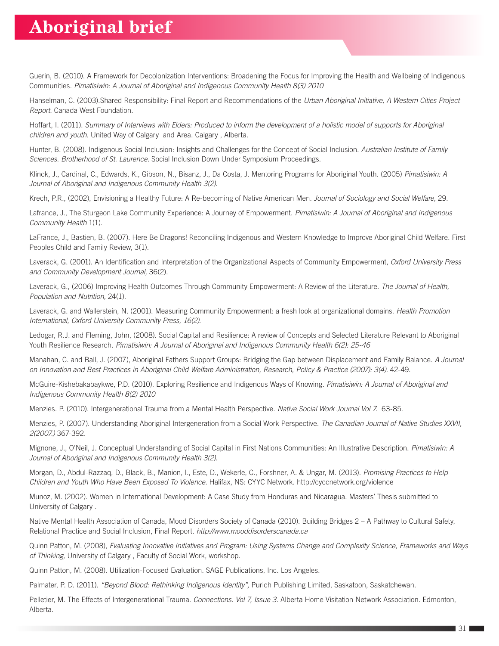Guerin, B. (2010). A Framework for Decolonization Interventions: Broadening the Focus for Improving the Health and Wellbeing of Indigenous Communities. *Pimatisiwin: A Journal of Aboriginal and Indigenous Community Health 8(3) 2010*

Hanselman, C. (2003).Shared Responsibility: Final Report and Recommendations of the *Urban Aboriginal Initiative, A Western Cities Project Report.* Canada West Foundation.

Hoffart, I. (2011). *Summary of Interviews with Elders: Produced to inform the development of a holistic model of supports for Aboriginal children and youth.* United Way of Calgary and Area. Calgary , Alberta.

Hunter, B. (2008). Indigenous Social Inclusion: Insights and Challenges for the Concept of Social Inclusion. *Australian Institute of Family Sciences. Brotherhood of St. Laurence.* Social Inclusion Down Under Symposium Proceedings.

Klinck, J., Cardinal, C., Edwards, K., Gibson, N., Bisanz, J., Da Costa, J. Mentoring Programs for Aboriginal Youth. (2005) *Pimatisiwin: A Journal of Aboriginal and Indigenous Community Health 3(2).* 

Krech, P.R., (2002), Envisioning a Healthy Future: A Re-becoming of Native American Men. *Journal of Sociology and Social Welfare,* 29.

Lafrance, J., The Sturgeon Lake Community Experience: A Journey of Empowerment. *Pimatisiwin: A Journal of Aboriginal and Indigenous Community Health* 1(1).

LaFrance, J., Bastien, B. (2007). Here Be Dragons! Reconciling Indigenous and Western Knowledge to Improve Aboriginal Child Welfare. First Peoples Child and Family Review, 3(1).

Laverack, G. (2001). An Identification and Interpretation of the Organizational Aspects of Community Empowerment, *Oxford University Press and Community Development Journal,* 36(2).

Laverack, G., (2006) Improving Health Outcomes Through Community Empowerment: A Review of the Literature. *The Journal of Health, Population and Nutrition,* 24(1).

Laverack, G. and Wallerstein, N. (2001). Measuring Community Empowerment: a fresh look at organizational domains. *Health Promotion International, Oxford University Community Press, 16(2).* 

Ledogar, R.J. and Fleming, John, (2008). Social Capital and Resilience: A review of Concepts and Selected Literature Relevant to Aboriginal Youth Resilience Research. *Pimatisiwin: A Journal of Aboriginal and Indigenous Community Health 6(2): 25-46*

Manahan, C. and Ball, J. (2007), Aboriginal Fathers Support Groups: Bridging the Gap between Displacement and Family Balance. *A Journal on Innovation and Best Practices in Aboriginal Child Welfare Administration, Research, Policy & Practice (2007): 3(4).* 42-49.

McGuire-Kishebakabaykwe, P.D. (2010). Exploring Resilience and Indigenous Ways of Knowing. *Pimatisiwin: A Journal of Aboriginal and Indigenous Community Health 8(2) 2010*

Menzies. P. (2010). Intergenerational Trauma from a Mental Health Perspective. *Native Social Work Journal Vol 7.* 63-85.

Menzies, P. (2007). Understanding Aboriginal Intergeneration from a Social Work Perspective. *The Canadian Journal of Native Studies XXVII, 2(2007.)* 367-392.

Mignone, J., O'Neil, J. Conceptual Understanding of Social Capital in First Nations Communities: An Illustrative Description. *Pimatisiwin: A Journal of Aboriginal and Indigenous Community Health 3(2).*

Morgan, D., Abdul-Razzaq, D., Black, B., Manion, I., Este, D., Wekerle, C., Forshner, A. & Ungar, M. (2013). *Promising Practices to Help Children and Youth Who Have Been Exposed To Violence.* Halifax, NS: CYYC Network. http://cyccnetwork.org/violence

Munoz, M. (2002). Women in International Development: A Case Study from Honduras and Nicaragua. Masters' Thesis submitted to University of Calgary .

Native Mental Health Association of Canada, Mood Disorders Society of Canada (2010). Building Bridges 2 – A Pathway to Cultural Safety, Relational Practice and Social Inclusion, Final Report. *http://www.mooddisorderscanada.ca*

Quinn Patton, M. (2008), *Evaluating Innovative Initiatives and Program: Using Systems Change and Complexity Science, Frameworks and Ways of Thinking,* University of Calgary , Faculty of Social Work, workshop.

Quinn Patton, M. (2008). Utilization-Focused Evaluation. SAGE Publications, Inc. Los Angeles.

Palmater, P. D. (2011). *"Beyond Blood: Rethinking Indigenous Identity",* Purich Publishing Limited, Saskatoon, Saskatchewan.

Pelletier, M. The Effects of Intergenerational Trauma. *Connections. Vol 7, Issue 3.* Alberta Home Visitation Network Association. Edmonton, Alberta.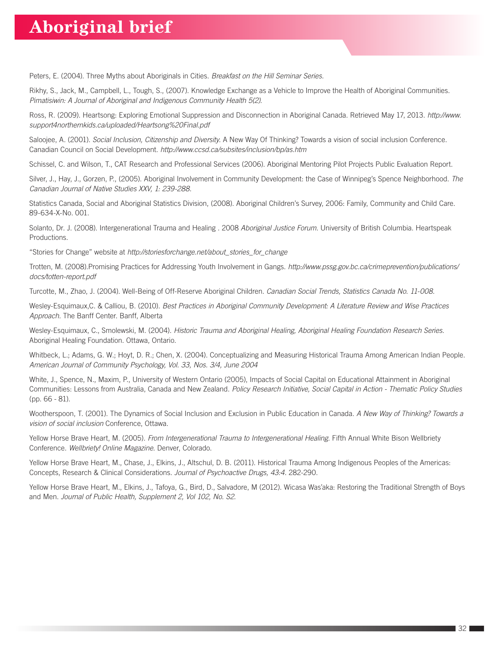Peters, E. (2004). Three Myths about Aboriginals in Cities. *Breakfast on the Hill Seminar Series.*

Rikhy, S., Jack, M., Campbell, L., Tough, S., (2007). Knowledge Exchange as a Vehicle to Improve the Health of Aboriginal Communities. *Pimatisiwin: A Journal of Aboriginal and Indigenous Community Health 5(2).*

Ross, R. (2009). Heartsong: Exploring Emotional Suppression and Disconnection in Aboriginal Canada. Retrieved May 17, 2013. *http://www. support4northernkids.ca/uploaded/Heartsong%20Final.pdf*

Saloojee, A. (2001). *Social Inclusion, Citizenship and Diversity.* A New Way Of Thinking? Towards a vision of social inclusion Conference. Canadian Council on Social Development. *http://www.ccsd.ca/subsites/inclusion/bp/as.htm*

Schissel, C. and Wilson, T., CAT Research and Professional Services (2006). Aboriginal Mentoring Pilot Projects Public Evaluation Report.

Silver, J., Hay, J., Gorzen, P., (2005). Aboriginal Involvement in Community Development: the Case of Winnipeg's Spence Neighborhood. *The Canadian Journal of Native Studies XXV, 1: 239-288.*

Statistics Canada, Social and Aboriginal Statistics Division, (2008). Aboriginal Children's Survey, 2006: Family, Community and Child Care. 89-634-X-No. 001.

Solanto, Dr. J. (2008). Intergenerational Trauma and Healing . 2008 *Aboriginal Justice Forum.* University of British Columbia. Heartspeak Productions.

"Stories for Change" website at *http://storiesforchange.net/about\_stories\_for\_change* 

Trotten, M. (2008).Promising Practices for Addressing Youth Involvement in Gangs. *http://www.pssg.gov.bc.ca/crimeprevention/publications/ docs/totten-report.pdf*

Turcotte, M., Zhao, J. (2004). Well-Being of Off-Reserve Aboriginal Children. *Canadian Social Trends, Statistics Canada No. 11-008.*

Wesley-Esquimaux,C. & Calliou, B. (2010). *Best Practices in Aboriginal Community Development: A Literature Review and Wise Practices Approach.* The Banff Center. Banff, Alberta

Wesley-Esquimaux, C., Smolewski, M. (2004). *Historic Trauma and Aboriginal Healing, Aboriginal Healing Foundation Research Series.*  Aboriginal Healing Foundation. Ottawa, Ontario.

Whitbeck, L.; Adams, G. W.; Hoyt, D. R.; Chen, X. (2004). Conceptualizing and Measuring Historical Trauma Among American Indian People. *American Journal of Community Psychology, Vol. 33, Nos. 3/4, June 2004*

White, J., Spence, N., Maxim, P., University of Western Ontario (2005), Impacts of Social Capital on Educational Attainment in Aboriginal Communities: Lessons from Australia, Canada and New Zealand. *Policy Research Initiative, Social Capital in Action - Thematic Policy Studies* (pp. 66 - 81).

Wootherspoon, T. (2001). The Dynamics of Social Inclusion and Exclusion in Public Education in Canada. *A New Way of Thinking? Towards a vision of social inclusion* Conference, Ottawa.

Yellow Horse Brave Heart, M. (2005). *From Intergenerational Trauma to Intergenerational Healing.* Fifth Annual White Bison Wellbriety Conference. *Wellbriety! Online Magazine.* Denver, Colorado.

Yellow Horse Brave Heart, M., Chase, J., Elkins, J., Altschul, D. B. (2011). Historical Trauma Among Indigenous Peoples of the Americas: Concepts, Research & Clinical Considerations. *Journal of Psychoactive Drugs, 43:4.* 282-290.

Yellow Horse Brave Heart, M., Elkins, J., Tafoya, G., Bird, D., Salvadore, M (2012). Wicasa Was'aka: Restoring the Traditional Strength of Boys and Men. *Journal of Public Health, Supplement 2, Vol 102, No. S2.*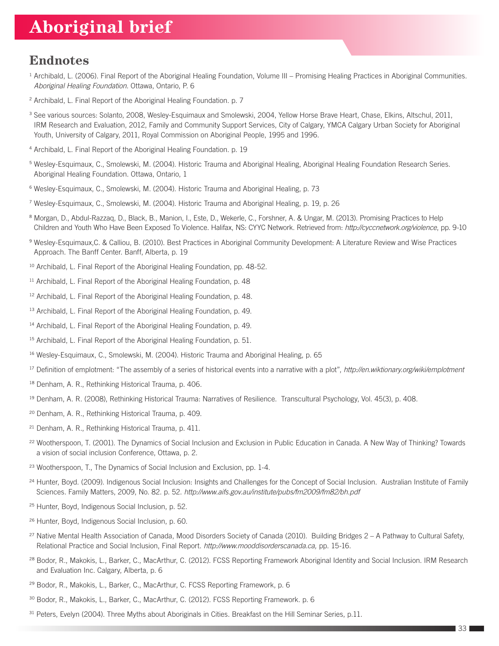### **Endnotes**

- <sup>1</sup> Archibald, L. (2006). Final Report of the Aboriginal Healing Foundation, Volume III Promising Healing Practices in Aboriginal Communities. *Aboriginal Healing Foundation.* Ottawa, Ontario, P. 6
- <sup>2</sup> Archibald, L. Final Report of the Aboriginal Healing Foundation. p. 7
- <sup>3</sup> See various sources: Solanto, 2008, Wesley-Esquimaux and Smolewski, 2004, Yellow Horse Brave Heart, Chase, Elkins, Altschul, 2011, IRM Research and Evaluation, 2012, Family and Community Support Services, City of Calgary, YMCA Calgary Urban Society for Aboriginal Youth, University of Calgary, 2011, Royal Commission on Aboriginal People, 1995 and 1996.
- <sup>4</sup> Archibald, L. Final Report of the Aboriginal Healing Foundation. p. 19
- <sup>5</sup> Wesley-Esquimaux, C., Smolewski, M. (2004). Historic Trauma and Aboriginal Healing, Aboriginal Healing Foundation Research Series. Aboriginal Healing Foundation. Ottawa, Ontario, 1
- <sup>6</sup> Wesley-Esquimaux, C., Smolewski, M. (2004). Historic Trauma and Aboriginal Healing, p. 73
- <sup>7</sup> Wesley-Esquimaux, C., Smolewski, M. (2004). Historic Trauma and Aboriginal Healing, p. 19, p. 26
- <sup>8</sup> Morgan, D., Abdul-Razzaq, D., Black, B., Manion, I., Este, D., Wekerle, C., Forshner, A. & Ungar, M. (2013). Promising Practices to Help Children and Youth Who Have Been Exposed To Violence. Halifax, NS: CYYC Network. Retrieved from: *http://cyccnetwork.org/violence*, pp. 9-10
- <sup>9</sup> Wesley-Esquimaux,C. & Calliou, B. (2010). Best Practices in Aboriginal Community Development: A Literature Review and Wise Practices Approach. The Banff Center. Banff, Alberta, p. 19
- <sup>10</sup> Archibald, L. Final Report of the Aboriginal Healing Foundation, pp. 48-52.
- <sup>11</sup> Archibald, L. Final Report of the Aboriginal Healing Foundation, p. 48
- <sup>12</sup> Archibald, L. Final Report of the Aboriginal Healing Foundation, p. 48.
- <sup>13</sup> Archibald, L. Final Report of the Aboriginal Healing Foundation, p. 49.
- <sup>14</sup> Archibald, L. Final Report of the Aboriginal Healing Foundation, p. 49.
- <sup>15</sup> Archibald, L. Final Report of the Aboriginal Healing Foundation, p. 51.
- <sup>16</sup> Wesley-Esquimaux, C., Smolewski, M. (2004). Historic Trauma and Aboriginal Healing, p. 65
- <sup>17</sup> Definition of emplotment: "The assembly of a series of historical events into a narrative with a plot", *http://en.wiktionary.org/wiki/emplotment*
- <sup>18</sup> Denham, A. R., Rethinking Historical Trauma, p. 406.
- <sup>19</sup> Denham, A. R. (2008), Rethinking Historical Trauma: Narratives of Resilience. Transcultural Psychology, Vol. 45(3), p. 408.
- <sup>20</sup> Denham, A. R., Rethinking Historical Trauma, p. 409.
- <sup>21</sup> Denham, A. R., Rethinking Historical Trauma, p. 411.
- <sup>22</sup> Wootherspoon, T. (2001). The Dynamics of Social Inclusion and Exclusion in Public Education in Canada. A New Way of Thinking? Towards a vision of social inclusion Conference, Ottawa, p. 2.
- <sup>23</sup> Wootherspoon, T., The Dynamics of Social Inclusion and Exclusion, pp. 1-4.
- <sup>24</sup> Hunter, Boyd. (2009). Indigenous Social Inclusion: Insights and Challenges for the Concept of Social Inclusion. Australian Institute of Family Sciences. Family Matters, 2009, No. 82. p. 52. *http://www.aifs.gov.au/institute/pubs/fm2009/fm82/bh.pdf*
- <sup>25</sup> Hunter, Boyd, Indigenous Social Inclusion, p. 52.
- <sup>26</sup> Hunter, Boyd, Indigenous Social Inclusion, p. 60.
- <sup>27</sup> Native Mental Health Association of Canada, Mood Disorders Society of Canada (2010). Building Bridges 2 A Pathway to Cultural Safety, Relational Practice and Social Inclusion, Final Report. *http://www.mooddisorderscanada.ca,* pp. 15-16.
- <sup>28</sup> Bodor, R., Makokis, L., Barker, C., MacArthur, C. (2012). FCSS Reporting Framework Aboriginal Identity and Social Inclusion. IRM Research and Evaluation Inc. Calgary, Alberta, p. 6
- <sup>29</sup> Bodor, R., Makokis, L., Barker, C., MacArthur, C. FCSS Reporting Framework, p. 6
- <sup>30</sup> Bodor, R., Makokis, L., Barker, C., MacArthur, C. (2012). FCSS Reporting Framework. p. 6
- <sup>31</sup> Peters, Evelyn (2004). Three Myths about Aboriginals in Cities. Breakfast on the Hill Seminar Series, p.11.